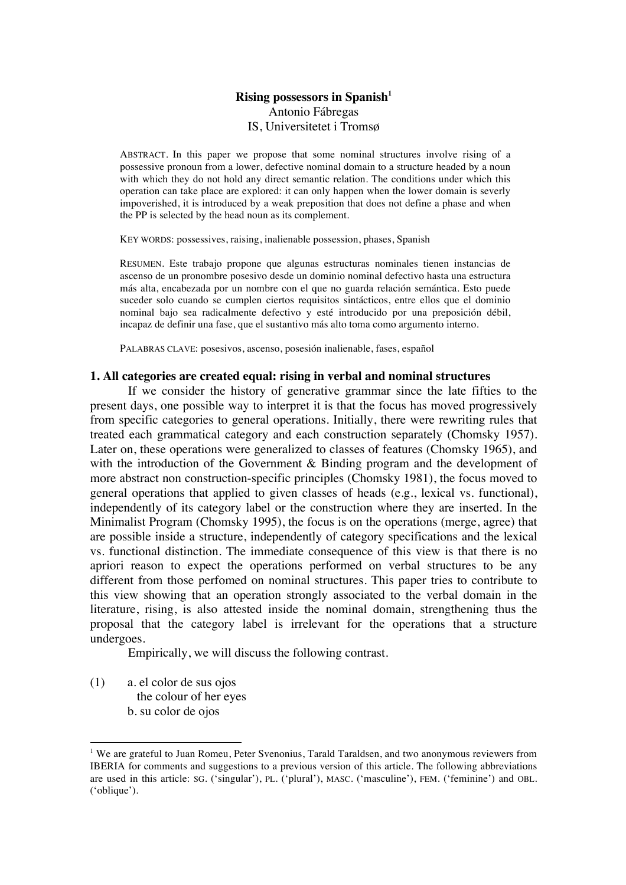# **Rising possessors in Spanish<sup>1</sup>** Antonio Fábregas IS, Universitetet i Tromsø

ABSTRACT. In this paper we propose that some nominal structures involve rising of a possessive pronoun from a lower, defective nominal domain to a structure headed by a noun with which they do not hold any direct semantic relation. The conditions under which this operation can take place are explored: it can only happen when the lower domain is severly impoverished, it is introduced by a weak preposition that does not define a phase and when the PP is selected by the head noun as its complement.

KEY WORDS: possessives, raising, inalienable possession, phases, Spanish

RESUMEN. Este trabajo propone que algunas estructuras nominales tienen instancias de ascenso de un pronombre posesivo desde un dominio nominal defectivo hasta una estructura más alta, encabezada por un nombre con el que no guarda relación semántica. Esto puede suceder solo cuando se cumplen ciertos requisitos sintácticos, entre ellos que el dominio nominal bajo sea radicalmente defectivo y esté introducido por una preposición débil, incapaz de definir una fase, que el sustantivo más alto toma como argumento interno.

PALABRAS CLAVE: posesivos, ascenso, posesión inalienable, fases, español

## **1. All categories are created equal: rising in verbal and nominal structures**

If we consider the history of generative grammar since the late fifties to the present days, one possible way to interpret it is that the focus has moved progressively from specific categories to general operations. Initially, there were rewriting rules that treated each grammatical category and each construction separately (Chomsky 1957). Later on, these operations were generalized to classes of features (Chomsky 1965), and with the introduction of the Government & Binding program and the development of more abstract non construction-specific principles (Chomsky 1981), the focus moved to general operations that applied to given classes of heads (e.g., lexical vs. functional), independently of its category label or the construction where they are inserted. In the Minimalist Program (Chomsky 1995), the focus is on the operations (merge, agree) that are possible inside a structure, independently of category specifications and the lexical vs. functional distinction. The immediate consequence of this view is that there is no apriori reason to expect the operations performed on verbal structures to be any different from those perfomed on nominal structures. This paper tries to contribute to this view showing that an operation strongly associated to the verbal domain in the literature, rising, is also attested inside the nominal domain, strengthening thus the proposal that the category label is irrelevant for the operations that a structure undergoes.

Empirically, we will discuss the following contrast.

(1) a. el color de sus ojos the colour of her eyes b. su color de ojos

<sup>&</sup>lt;sup>1</sup> We are grateful to Juan Romeu, Peter Svenonius, Tarald Taraldsen, and two anonymous reviewers from IBERIA for comments and suggestions to a previous version of this article. The following abbreviations are used in this article: SG. ('singular'), PL. ('plural'), MASC. ('masculine'), FEM. ('feminine') and OBL. ('oblique').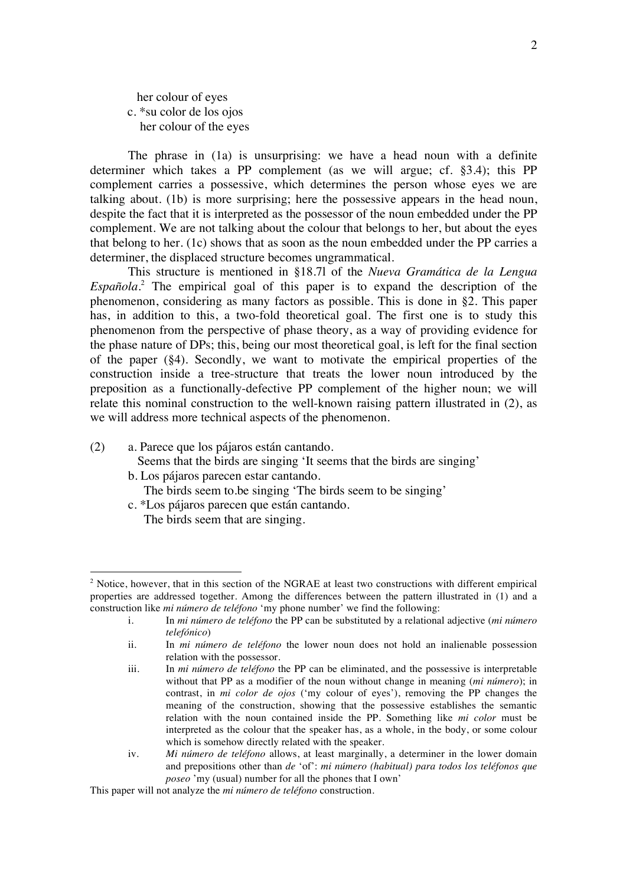her colour of eyes c. \*su color de los ojos her colour of the eyes

The phrase in (1a) is unsurprising: we have a head noun with a definite determiner which takes a PP complement (as we will argue; cf. §3.4); this PP complement carries a possessive, which determines the person whose eyes we are talking about. (1b) is more surprising; here the possessive appears in the head noun, despite the fact that it is interpreted as the possessor of the noun embedded under the PP complement. We are not talking about the colour that belongs to her, but about the eyes that belong to her. (1c) shows that as soon as the noun embedded under the PP carries a determiner, the displaced structure becomes ungrammatical.

This structure is mentioned in §18.7l of the *Nueva Gramática de la Lengua Española*. <sup>2</sup> The empirical goal of this paper is to expand the description of the phenomenon, considering as many factors as possible. This is done in §2. This paper has, in addition to this, a two-fold theoretical goal. The first one is to study this phenomenon from the perspective of phase theory, as a way of providing evidence for the phase nature of DPs; this, being our most theoretical goal, is left for the final section of the paper (§4). Secondly, we want to motivate the empirical properties of the construction inside a tree-structure that treats the lower noun introduced by the preposition as a functionally-defective PP complement of the higher noun; we will relate this nominal construction to the well-known raising pattern illustrated in (2), as we will address more technical aspects of the phenomenon.

(2) a. Parece que los pájaros están cantando.

- Seems that the birds are singing 'It seems that the birds are singing'
- b. Los pájaros parecen estar cantando.

The birds seem to.be singing 'The birds seem to be singing'

c. \*Los pájaros parecen que están cantando. The birds seem that are singing.

 $2$  Notice, however, that in this section of the NGRAE at least two constructions with different empirical properties are addressed together. Among the differences between the pattern illustrated in (1) and a construction like *mi número de teléfono* 'my phone number' we find the following:

i. In *mi número de teléfono* the PP can be substituted by a relational adjective (*mi número telefónico*)

ii. In *mi número de teléfono* the lower noun does not hold an inalienable possession relation with the possessor.

iii. In *mi número de teléfono* the PP can be eliminated, and the possessive is interpretable without that PP as a modifier of the noun without change in meaning (*mi número*); in contrast, in *mi color de ojos* ('my colour of eyes'), removing the PP changes the meaning of the construction, showing that the possessive establishes the semantic relation with the noun contained inside the PP. Something like *mi color* must be interpreted as the colour that the speaker has, as a whole, in the body, or some colour which is somehow directly related with the speaker.

iv. *Mi número de teléfono* allows, at least marginally, a determiner in the lower domain and prepositions other than *de* 'of': *mi número (habitual) para todos los teléfonos que poseo* 'my (usual) number for all the phones that I own'

This paper will not analyze the *mi número de teléfono* construction.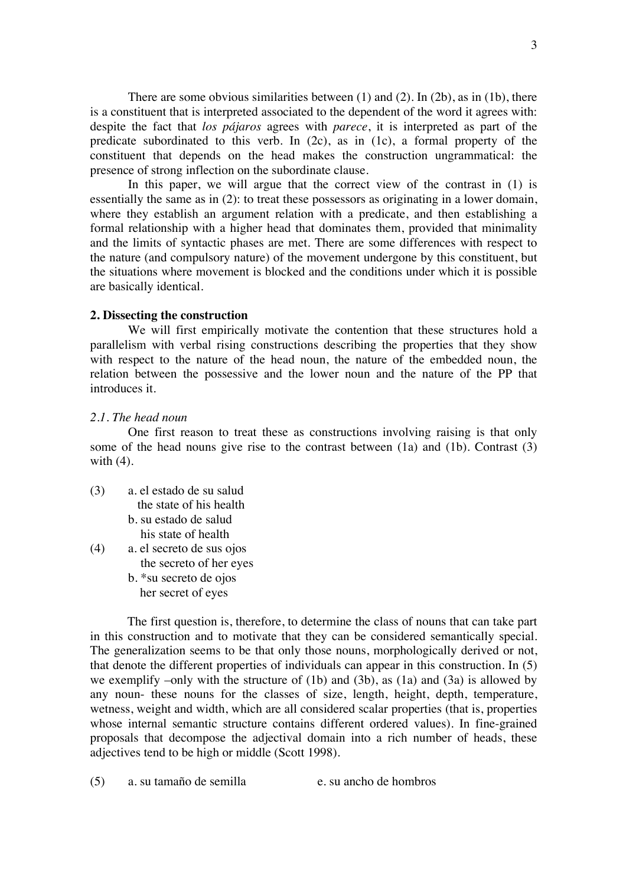There are some obvious similarities between (1) and (2). In (2b), as in (1b), there is a constituent that is interpreted associated to the dependent of the word it agrees with: despite the fact that *los pájaros* agrees with *parece*, it is interpreted as part of the predicate subordinated to this verb. In (2c), as in (1c), a formal property of the constituent that depends on the head makes the construction ungrammatical: the presence of strong inflection on the subordinate clause.

In this paper, we will argue that the correct view of the contrast in (1) is essentially the same as in (2): to treat these possessors as originating in a lower domain, where they establish an argument relation with a predicate, and then establishing a formal relationship with a higher head that dominates them, provided that minimality and the limits of syntactic phases are met. There are some differences with respect to the nature (and compulsory nature) of the movement undergone by this constituent, but the situations where movement is blocked and the conditions under which it is possible are basically identical.

## **2. Dissecting the construction**

We will first empirically motivate the contention that these structures hold a parallelism with verbal rising constructions describing the properties that they show with respect to the nature of the head noun, the nature of the embedded noun, the relation between the possessive and the lower noun and the nature of the PP that introduces it.

## *2.1. The head noun*

One first reason to treat these as constructions involving raising is that only some of the head nouns give rise to the contrast between (1a) and (1b). Contrast (3) with (4).

- (3) a. el estado de su salud the state of his health
	- b. su estado de salud his state of health
- (4) a. el secreto de sus ojos the secreto of her eyes
	- b. \*su secreto de ojos
	- her secret of eyes

The first question is, therefore, to determine the class of nouns that can take part in this construction and to motivate that they can be considered semantically special. The generalization seems to be that only those nouns, morphologically derived or not, that denote the different properties of individuals can appear in this construction. In (5) we exemplify –only with the structure of (1b) and (3b), as (1a) and (3a) is allowed by any noun- these nouns for the classes of size, length, height, depth, temperature, wetness, weight and width, which are all considered scalar properties (that is, properties whose internal semantic structure contains different ordered values). In fine-grained proposals that decompose the adjectival domain into a rich number of heads, these adjectives tend to be high or middle (Scott 1998).

(5) a. su tamaño de semilla e. su ancho de hombros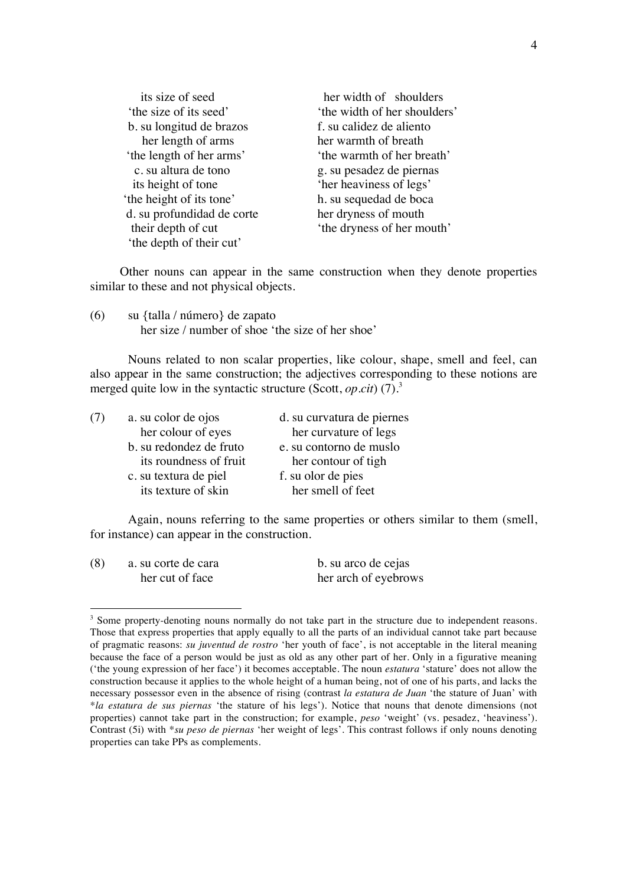| its size of seed           | her width of shoulders       |
|----------------------------|------------------------------|
| 'the size of its seed'     | 'the width of her shoulders' |
| b. su longitud de brazos   | f. su calidez de aliento     |
| her length of arms         | her warmth of breath         |
| 'the length of her arms'   | 'the warmth of her breath'   |
| c. su altura de tono       | g. su pesadez de piernas     |
| its height of tone         | 'her heaviness of legs'      |
| 'the height of its tone'   | h. su sequedad de boca       |
| d. su profundidad de corte | her dryness of mouth         |
| their depth of cut         | 'the dryness of her mouth'   |
| 'the depth of their cut'   |                              |

Other nouns can appear in the same construction when they denote properties similar to these and not physical objects.

(6) su {talla / número} de zapato her size / number of shoe 'the size of her shoe'

Nouns related to non scalar properties, like colour, shape, smell and feel, can also appear in the same construction; the adjectives corresponding to these notions are merged quite low in the syntactic structure (Scott, *op.cit*) (7).<sup>3</sup>

| a. su color de ojos     | d. su curvatura de piernes |
|-------------------------|----------------------------|
| her colour of eyes      | her curvature of legs      |
| b. su redondez de fruto | e. su contorno de muslo    |
| its roundness of fruit  | her contour of tigh        |
| c. su textura de piel   | f. su olor de pies         |
| its texture of skin     | her smell of feet          |
|                         |                            |

Again, nouns referring to the same properties or others similar to them (smell, for instance) can appear in the construction.

| (8) | a. su corte de cara | b. su arco de cejas  |  |  |
|-----|---------------------|----------------------|--|--|
|     | her cut of face     | her arch of eyebrows |  |  |

 $3$  Some property-denoting nouns normally do not take part in the structure due to independent reasons. Those that express properties that apply equally to all the parts of an individual cannot take part because of pragmatic reasons: *su juventud de rostro* 'her youth of face', is not acceptable in the literal meaning because the face of a person would be just as old as any other part of her. Only in a figurative meaning ('the young expression of her face') it becomes acceptable. The noun *estatura* 'stature' does not allow the construction because it applies to the whole height of a human being, not of one of his parts, and lacks the necessary possessor even in the absence of rising (contrast *la estatura de Juan* 'the stature of Juan' with \**la estatura de sus piernas* 'the stature of his legs'). Notice that nouns that denote dimensions (not properties) cannot take part in the construction; for example, *peso* 'weight' (vs. pesadez, 'heaviness'). Contrast (5i) with \**su peso de piernas* 'her weight of legs'. This contrast follows if only nouns denoting properties can take PPs as complements.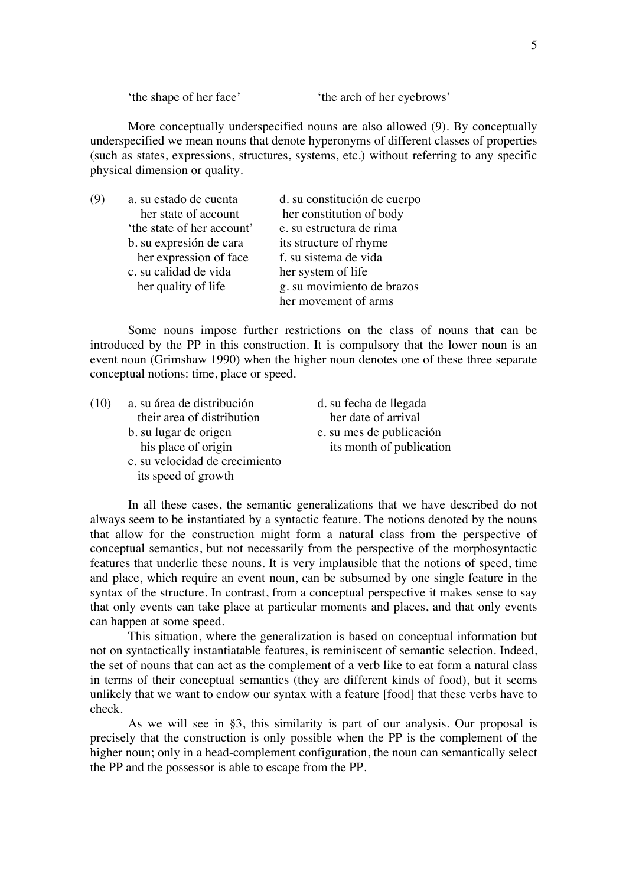'the shape of her face' 'the arch of her eyebrows'

More conceptually underspecified nouns are also allowed (9). By conceptually underspecified we mean nouns that denote hyperonyms of different classes of properties (such as states, expressions, structures, systems, etc.) without referring to any specific physical dimension or quality.

| a. su estado de cuenta     | d. su constitución de cuerpo |
|----------------------------|------------------------------|
| her state of account       | her constitution of body     |
| 'the state of her account' | e. su estructura de rima     |
| b. su expresión de cara    | its structure of rhyme       |
| her expression of face     | f. su sistema de vida        |
| c. su calidad de vida      | her system of life           |
| her quality of life        | g. su movimiento de brazos   |
|                            | her movement of arms         |

Some nouns impose further restrictions on the class of nouns that can be introduced by the PP in this construction. It is compulsory that the lower noun is an event noun (Grimshaw 1990) when the higher noun denotes one of these three separate conceptual notions: time, place or speed.

| (10) | a. su área de distribución     | d. su fecha de llegada   |
|------|--------------------------------|--------------------------|
|      | their area of distribution     | her date of arrival      |
|      | b. su lugar de origen          | e. su mes de publicación |
|      | his place of origin            | its month of publication |
|      | c. su velocidad de crecimiento |                          |
|      | its speed of growth            |                          |

In all these cases, the semantic generalizations that we have described do not always seem to be instantiated by a syntactic feature. The notions denoted by the nouns that allow for the construction might form a natural class from the perspective of conceptual semantics, but not necessarily from the perspective of the morphosyntactic features that underlie these nouns. It is very implausible that the notions of speed, time and place, which require an event noun, can be subsumed by one single feature in the syntax of the structure. In contrast, from a conceptual perspective it makes sense to say that only events can take place at particular moments and places, and that only events can happen at some speed.

This situation, where the generalization is based on conceptual information but not on syntactically instantiatable features, is reminiscent of semantic selection. Indeed, the set of nouns that can act as the complement of a verb like to eat form a natural class in terms of their conceptual semantics (they are different kinds of food), but it seems unlikely that we want to endow our syntax with a feature [food] that these verbs have to check.

As we will see in §3, this similarity is part of our analysis. Our proposal is precisely that the construction is only possible when the PP is the complement of the higher noun; only in a head-complement configuration, the noun can semantically select the PP and the possessor is able to escape from the PP.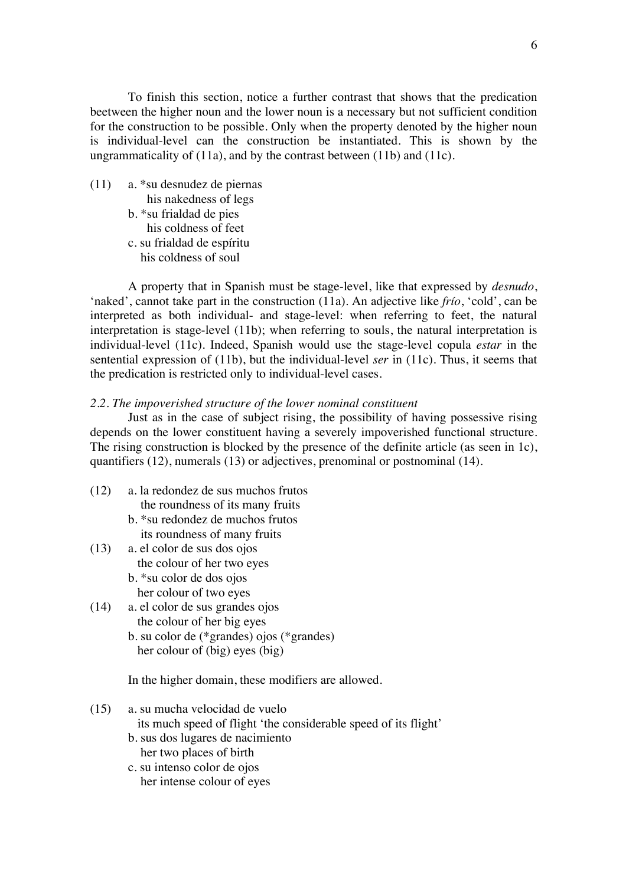To finish this section, notice a further contrast that shows that the predication beetween the higher noun and the lower noun is a necessary but not sufficient condition for the construction to be possible. Only when the property denoted by the higher noun is individual-level can the construction be instantiated. This is shown by the ungrammaticality of (11a), and by the contrast between (11b) and (11c).

(11) a. \*su desnudez de piernas his nakedness of legs b. \*su frialdad de pies his coldness of feet c. su frialdad de espíritu his coldness of soul

A property that in Spanish must be stage-level, like that expressed by *desnudo*, 'naked', cannot take part in the construction (11a). An adjective like *frío*, 'cold', can be interpreted as both individual- and stage-level: when referring to feet, the natural interpretation is stage-level (11b); when referring to souls, the natural interpretation is individual-level (11c). Indeed, Spanish would use the stage-level copula *estar* in the sentential expression of (11b), but the individual-level *ser* in (11c). Thus, it seems that the predication is restricted only to individual-level cases.

### *2.2. The impoverished structure of the lower nominal constituent*

Just as in the case of subject rising, the possibility of having possessive rising depends on the lower constituent having a severely impoverished functional structure. The rising construction is blocked by the presence of the definite article (as seen in 1c), quantifiers (12), numerals (13) or adjectives, prenominal or postnominal (14).

- (12) a. la redondez de sus muchos frutos the roundness of its many fruits
	- b. \*su redondez de muchos frutos its roundness of many fruits
- (13) a. el color de sus dos ojos the colour of her two eyes
	- b. \*su color de dos ojos her colour of two eyes
- (14) a. el color de sus grandes ojos the colour of her big eyes
	- b. su color de (\*grandes) ojos (\*grandes) her colour of (big) eyes (big)

In the higher domain, these modifiers are allowed.

- (15) a. su mucha velocidad de vuelo its much speed of flight 'the considerable speed of its flight'
	- b. sus dos lugares de nacimiento her two places of birth
	- c. su intenso color de ojos her intense colour of eyes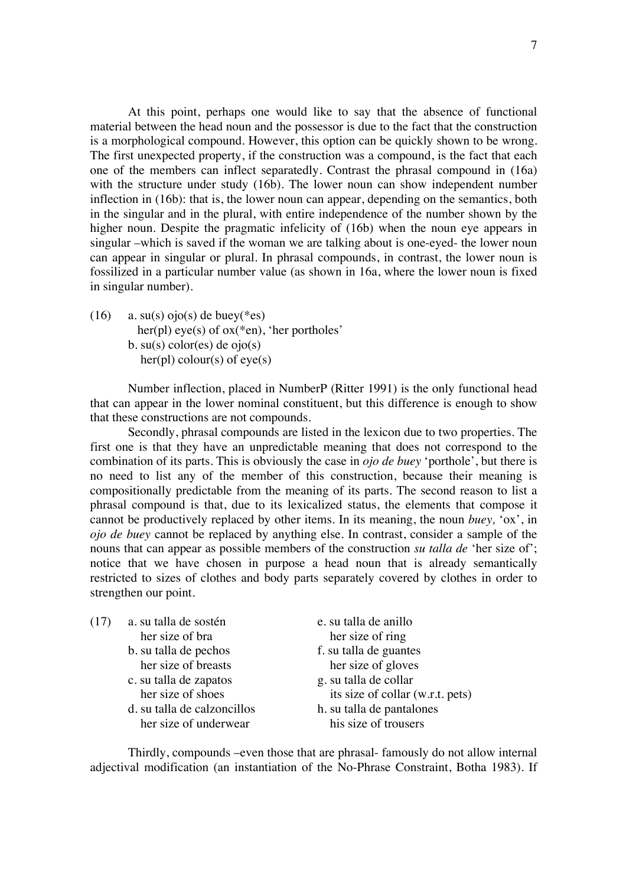At this point, perhaps one would like to say that the absence of functional material between the head noun and the possessor is due to the fact that the construction is a morphological compound. However, this option can be quickly shown to be wrong. The first unexpected property, if the construction was a compound, is the fact that each one of the members can inflect separatedly. Contrast the phrasal compound in (16a) with the structure under study (16b). The lower noun can show independent number inflection in (16b): that is, the lower noun can appear, depending on the semantics, both in the singular and in the plural, with entire independence of the number shown by the higher noun. Despite the pragmatic infelicity of (16b) when the noun eye appears in singular –which is saved if the woman we are talking about is one-eyed- the lower noun can appear in singular or plural. In phrasal compounds, in contrast, the lower noun is fossilized in a particular number value (as shown in 16a, where the lower noun is fixed in singular number).

(16) a. su(s) ojo(s) de buey(\*es) her(pl) eye(s) of ox(\*en), 'her portholes' b. su(s) color(es) de  $ojo(s)$ her(pl) colour(s) of  $eye(s)$ 

Number inflection, placed in NumberP (Ritter 1991) is the only functional head that can appear in the lower nominal constituent, but this difference is enough to show that these constructions are not compounds.

Secondly, phrasal compounds are listed in the lexicon due to two properties. The first one is that they have an unpredictable meaning that does not correspond to the combination of its parts. This is obviously the case in *ojo de buey* 'porthole', but there is no need to list any of the member of this construction, because their meaning is compositionally predictable from the meaning of its parts. The second reason to list a phrasal compound is that, due to its lexicalized status, the elements that compose it cannot be productively replaced by other items. In its meaning, the noun *buey,* 'ox', in *ojo de buey* cannot be replaced by anything else. In contrast, consider a sample of the nouns that can appear as possible members of the construction *su talla de* 'her size of'; notice that we have chosen in purpose a head noun that is already semantically restricted to sizes of clothes and body parts separately covered by clothes in order to strengthen our point.

| (17) | a. su talla de sostén       | e. su talla de anillo            |
|------|-----------------------------|----------------------------------|
|      | her size of bra             | her size of ring                 |
|      | b. su talla de pechos       | f. su talla de guantes           |
|      | her size of breasts         | her size of gloves               |
|      | c. su talla de zapatos      | g. su talla de collar            |
|      | her size of shoes           | its size of collar (w.r.t. pets) |
|      | d. su talla de calzoncillos | h. su talla de pantalones        |
|      | her size of underwear       | his size of trousers             |
|      |                             |                                  |

Thirdly, compounds –even those that are phrasal- famously do not allow internal adjectival modification (an instantiation of the No-Phrase Constraint, Botha 1983). If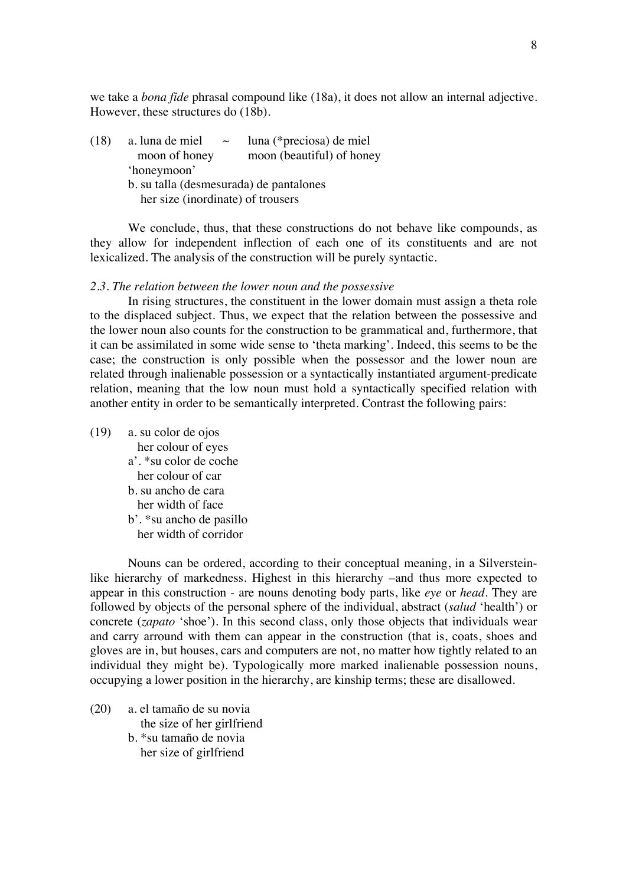we take a *bona fide* phrasal compound like (18a), it does not allow an internal adjective. However, these structures do (18b).

| (18) | a. luna de miel<br>$\sim$               | luna (*preciosa) de miel  |
|------|-----------------------------------------|---------------------------|
|      | moon of honey                           | moon (beautiful) of honey |
|      | 'honeymoon'                             |                           |
|      | b. su talla (desmesurada) de pantalones |                           |
|      | her size (inordinate) of trousers       |                           |
|      |                                         |                           |

We conclude, thus, that these constructions do not behave like compounds, as they allow for independent inflection of each one of its constituents and are not lexicalized. The analysis of the construction will be purely syntactic.

### *2.3. The relation between the lower noun and the possessive*

In rising structures, the constituent in the lower domain must assign a theta role to the displaced subject. Thus, we expect that the relation between the possessive and the lower noun also counts for the construction to be grammatical and, furthermore, that it can be assimilated in some wide sense to 'theta marking'. Indeed, this seems to be the case; the construction is only possible when the possessor and the lower noun are related through inalienable possession or a syntactically instantiated argument-predicate relation, meaning that the low noun must hold a syntactically specified relation with another entity in order to be semantically interpreted. Contrast the following pairs:

(19) a. su color de ojos her colour of eyes a'. \*su color de coche her colour of car b. su ancho de cara her width of face b'. \*su ancho de pasillo her width of corridor

Nouns can be ordered, according to their conceptual meaning, in a Silversteinlike hierarchy of markedness. Highest in this hierarchy –and thus more expected to appear in this construction - are nouns denoting body parts, like *eye* or *head*. They are followed by objects of the personal sphere of the individual, abstract (*salud* 'health') or concrete (*zapato* 'shoe'). In this second class, only those objects that individuals wear and carry arround with them can appear in the construction (that is, coats, shoes and gloves are in, but houses, cars and computers are not, no matter how tightly related to an individual they might be). Typologically more marked inalienable possession nouns, occupying a lower position in the hierarchy, are kinship terms; these are disallowed.

- (20) a. el tamaño de su novia the size of her girlfriend b. \*su tamaño de novia
	- her size of girlfriend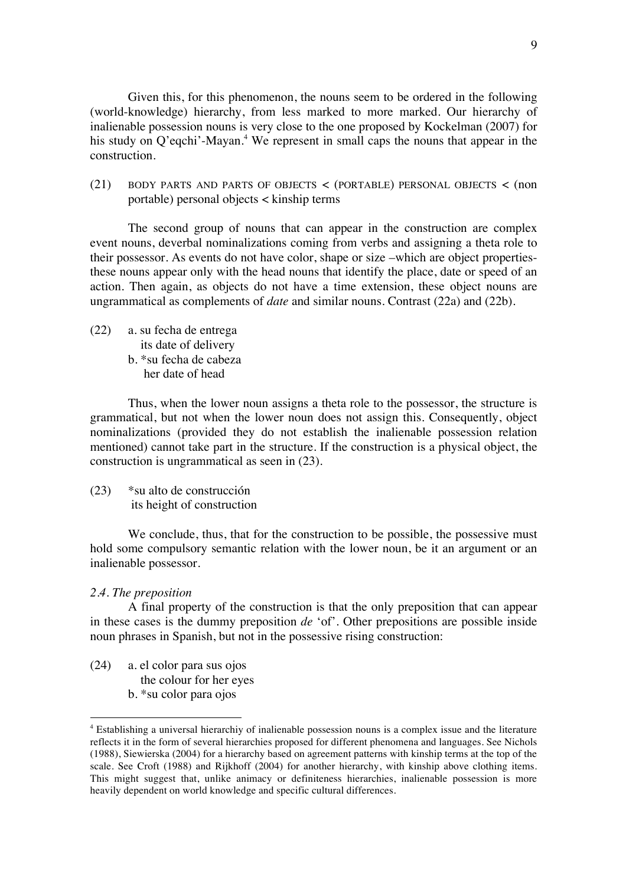Given this, for this phenomenon, the nouns seem to be ordered in the following (world-knowledge) hierarchy, from less marked to more marked. Our hierarchy of inalienable possession nouns is very close to the one proposed by Kockelman (2007) for his study on Q'eqchi'-Mayan.<sup>4</sup> We represent in small caps the nouns that appear in the construction.

(21) BODY PARTS AND PARTS OF OBJECTS < (PORTABLE) PERSONAL OBJECTS < (non portable) personal objects < kinship terms

The second group of nouns that can appear in the construction are complex event nouns, deverbal nominalizations coming from verbs and assigning a theta role to their possessor. As events do not have color, shape or size –which are object propertiesthese nouns appear only with the head nouns that identify the place, date or speed of an action. Then again, as objects do not have a time extension, these object nouns are ungrammatical as complements of *date* and similar nouns. Contrast (22a) and (22b).

(22) a. su fecha de entrega its date of delivery b. \*su fecha de cabeza her date of head

Thus, when the lower noun assigns a theta role to the possessor, the structure is grammatical, but not when the lower noun does not assign this. Consequently, object nominalizations (provided they do not establish the inalienable possession relation mentioned) cannot take part in the structure. If the construction is a physical object, the construction is ungrammatical as seen in (23).

(23) \*su alto de construcción its height of construction

We conclude, thus, that for the construction to be possible, the possessive must hold some compulsory semantic relation with the lower noun, be it an argument or an inalienable possessor.

# *2.4. The preposition*

A final property of the construction is that the only preposition that can appear in these cases is the dummy preposition *de* 'of'. Other prepositions are possible inside noun phrases in Spanish, but not in the possessive rising construction:

(24) a. el color para sus ojos the colour for her eyes b. \*su color para ojos

<sup>4</sup> Establishing a universal hierarchiy of inalienable possession nouns is a complex issue and the literature reflects it in the form of several hierarchies proposed for different phenomena and languages. See Nichols (1988), Siewierska (2004) for a hierarchy based on agreement patterns with kinship terms at the top of the scale. See Croft (1988) and Rijkhoff (2004) for another hierarchy, with kinship above clothing items. This might suggest that, unlike animacy or definiteness hierarchies, inalienable possession is more heavily dependent on world knowledge and specific cultural differences.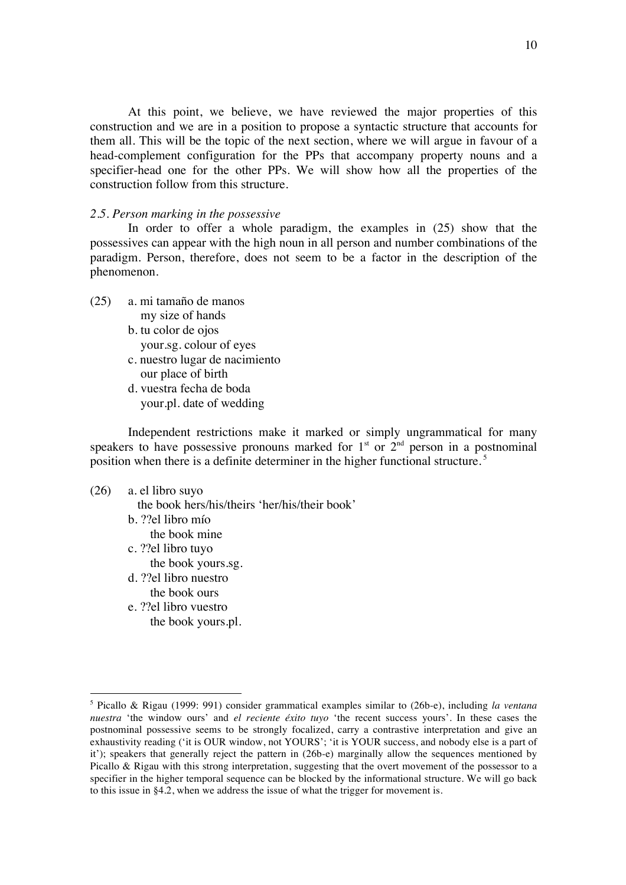At this point, we believe, we have reviewed the major properties of this construction and we are in a position to propose a syntactic structure that accounts for them all. This will be the topic of the next section, where we will argue in favour of a head-complement configuration for the PPs that accompany property nouns and a specifier-head one for the other PPs. We will show how all the properties of the construction follow from this structure.

## *2.5. Person marking in the possessive*

In order to offer a whole paradigm, the examples in (25) show that the possessives can appear with the high noun in all person and number combinations of the paradigm. Person, therefore, does not seem to be a factor in the description of the phenomenon.

- (25) a. mi tamaño de manos my size of hands
	- b. tu color de ojos your.sg. colour of eyes
	- c. nuestro lugar de nacimiento
	- our place of birth
	- d. vuestra fecha de boda your.pl. date of wedding

Independent restrictions make it marked or simply ungrammatical for many speakers to have possessive pronouns marked for  $1<sup>st</sup>$  or  $2<sup>nd</sup>$  person in a postnominal position when there is a definite determiner in the higher functional structure. <sup>5</sup>

# (26) a. el libro suyo

the book hers/his/theirs 'her/his/their book'

- b. ??el libro mío
	- the book mine
- c. ??el libro tuyo the book yours.sg.
- d. ??el libro nuestro
- the book ours

e. ??el libro vuestro the book yours.pl.

<sup>5</sup> Picallo & Rigau (1999: 991) consider grammatical examples similar to (26b-e), including *la ventana nuestra* 'the window ours' and *el reciente éxito tuyo* 'the recent success yours'. In these cases the postnominal possessive seems to be strongly focalized, carry a contrastive interpretation and give an exhaustivity reading ('it is OUR window, not YOURS'; 'it is YOUR success, and nobody else is a part of it'); speakers that generally reject the pattern in (26b-e) marginally allow the sequences mentioned by Picallo & Rigau with this strong interpretation, suggesting that the overt movement of the possessor to a specifier in the higher temporal sequence can be blocked by the informational structure. We will go back to this issue in §4.2, when we address the issue of what the trigger for movement is.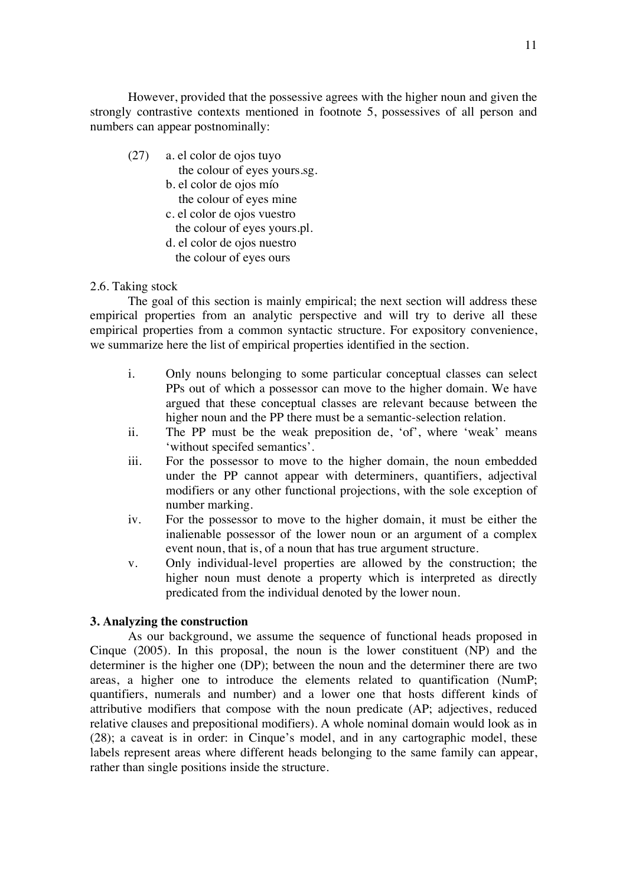However, provided that the possessive agrees with the higher noun and given the strongly contrastive contexts mentioned in footnote 5, possessives of all person and numbers can appear postnominally:

- (27) a. el color de ojos tuyo
	- the colour of eyes yours.sg.
	- b. el color de ojos mío the colour of eyes mine
	- c. el color de ojos vuestro
	- the colour of eyes yours.pl.
	- d. el color de ojos nuestro the colour of eyes ours

# 2.6. Taking stock

The goal of this section is mainly empirical; the next section will address these empirical properties from an analytic perspective and will try to derive all these empirical properties from a common syntactic structure. For expository convenience, we summarize here the list of empirical properties identified in the section.

- i. Only nouns belonging to some particular conceptual classes can select PPs out of which a possessor can move to the higher domain. We have argued that these conceptual classes are relevant because between the higher noun and the PP there must be a semantic-selection relation.
- ii. The PP must be the weak preposition de, 'of', where 'weak' means 'without specifed semantics'.
- iii. For the possessor to move to the higher domain, the noun embedded under the PP cannot appear with determiners, quantifiers, adjectival modifiers or any other functional projections, with the sole exception of number marking.
- iv. For the possessor to move to the higher domain, it must be either the inalienable possessor of the lower noun or an argument of a complex event noun, that is, of a noun that has true argument structure.
- v. Only individual-level properties are allowed by the construction; the higher noun must denote a property which is interpreted as directly predicated from the individual denoted by the lower noun.

# **3. Analyzing the construction**

As our background, we assume the sequence of functional heads proposed in Cinque (2005). In this proposal, the noun is the lower constituent (NP) and the determiner is the higher one (DP); between the noun and the determiner there are two areas, a higher one to introduce the elements related to quantification (NumP; quantifiers, numerals and number) and a lower one that hosts different kinds of attributive modifiers that compose with the noun predicate (AP; adjectives, reduced relative clauses and prepositional modifiers). A whole nominal domain would look as in (28); a caveat is in order: in Cinque's model, and in any cartographic model, these labels represent areas where different heads belonging to the same family can appear, rather than single positions inside the structure.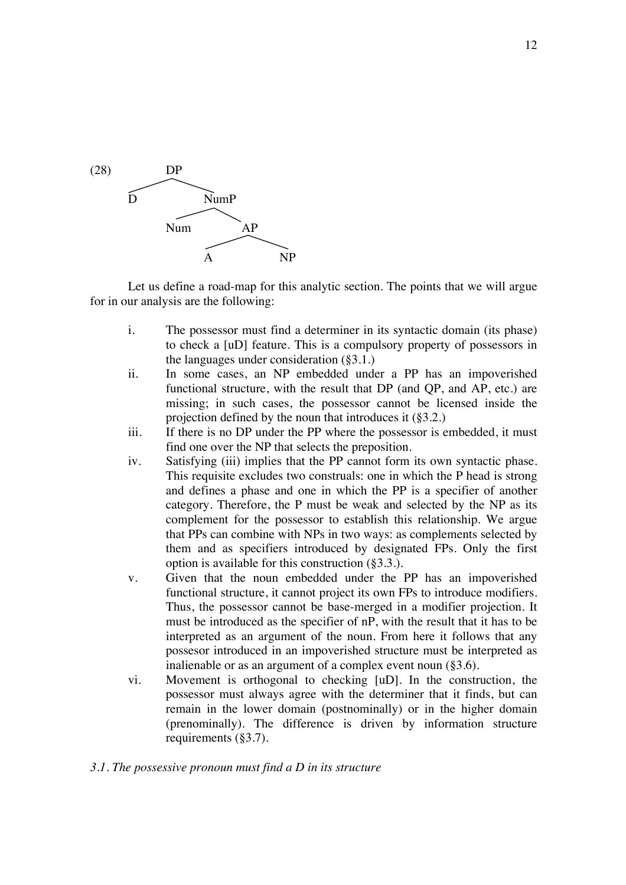

Let us define a road-map for this analytic section. The points that we will argue for in our analysis are the following:

- i. The possessor must find a determiner in its syntactic domain (its phase) to check a [uD] feature. This is a compulsory property of possessors in the languages under consideration (§3.1.)
- ii. In some cases, an NP embedded under a PP has an impoverished functional structure, with the result that DP (and QP, and AP, etc.) are missing; in such cases, the possessor cannot be licensed inside the projection defined by the noun that introduces it (§3.2.)
- iii. If there is no DP under the PP where the possessor is embedded, it must find one over the NP that selects the preposition.
- iv. Satisfying (iii) implies that the PP cannot form its own syntactic phase. This requisite excludes two construals: one in which the P head is strong and defines a phase and one in which the PP is a specifier of another category. Therefore, the P must be weak and selected by the NP as its complement for the possessor to establish this relationship. We argue that PPs can combine with NPs in two ways: as complements selected by them and as specifiers introduced by designated FPs. Only the first option is available for this construction (§3.3.).
- v. Given that the noun embedded under the PP has an impoverished functional structure, it cannot project its own FPs to introduce modifiers. Thus, the possessor cannot be base-merged in a modifier projection. It must be introduced as the specifier of nP, with the result that it has to be interpreted as an argument of the noun. From here it follows that any possesor introduced in an impoverished structure must be interpreted as inalienable or as an argument of a complex event noun (§3.6).
- vi. Movement is orthogonal to checking [uD]. In the construction, the possessor must always agree with the determiner that it finds, but can remain in the lower domain (postnominally) or in the higher domain (prenominally). The difference is driven by information structure requirements (§3.7).

# *3.1. The possessive pronoun must find a D in its structure*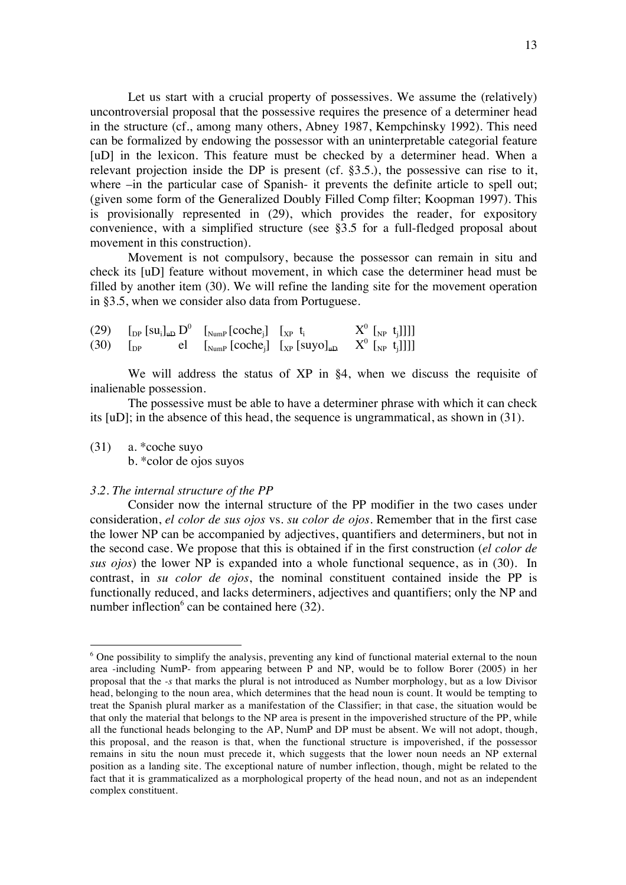Let us start with a crucial property of possessives. We assume the (relatively) uncontroversial proposal that the possessive requires the presence of a determiner head in the structure (cf., among many others, Abney 1987, Kempchinsky 1992). This need can be formalized by endowing the possessor with an uninterpretable categorial feature [uD] in the lexicon. This feature must be checked by a determiner head. When a relevant projection inside the DP is present (cf. §3.5.), the possessive can rise to it, where –in the particular case of Spanish- it prevents the definite article to spell out; (given some form of the Generalized Doubly Filled Comp filter; Koopman 1997). This is provisionally represented in (29), which provides the reader, for expository convenience, with a simplified structure (see §3.5 for a full-fledged proposal about movement in this construction).

Movement is not compulsory, because the possessor can remain in situ and check its [uD] feature without movement, in which case the determiner head must be filled by another item (30). We will refine the landing site for the movement operation in §3.5, when we consider also data from Portuguese.

|  | (29) $\left[ \ln \left[ \text{su}_{i} \right]_{\text{H}} D^{0} \right]$ $\left[ \text{Nump} \left[ \text{coche}_{i} \right] \right]$ $\left[ \text{Xp} \right]$ $\text{t}_{i}$                                                                                                                                                                                                   | $X^0$ [ <sub>NP</sub> t <sub>j</sub> ]]]] |
|--|----------------------------------------------------------------------------------------------------------------------------------------------------------------------------------------------------------------------------------------------------------------------------------------------------------------------------------------------------------------------------------|-------------------------------------------|
|  | (30) $\begin{bmatrix} p \end{bmatrix}$ el $\begin{bmatrix} \begin{bmatrix} \text{Nump} \end{bmatrix} \begin{bmatrix} \text{coche}_j \end{bmatrix} \begin{bmatrix} \begin{bmatrix} \text{supo} \end{bmatrix}_{\text{H}} \end{bmatrix} \begin{bmatrix} \begin{bmatrix} \text{Np} \end{bmatrix} \begin{bmatrix} \begin{bmatrix} \text{1} \end{bmatrix} \end{bmatrix} \end{bmatrix}$ |                                           |

We will address the status of XP in §4, when we discuss the requisite of inalienable possession.

The possessive must be able to have a determiner phrase with which it can check its [uD]; in the absence of this head, the sequence is ungrammatical, as shown in (31).

(31) a. \*coche suyo

b. \*color de ojos suyos

#### *3.2. The internal structure of the PP*

Consider now the internal structure of the PP modifier in the two cases under consideration, *el color de sus ojos* vs. *su color de ojos*. Remember that in the first case the lower NP can be accompanied by adjectives, quantifiers and determiners, but not in the second case. We propose that this is obtained if in the first construction (*el color de sus ojos*) the lower NP is expanded into a whole functional sequence, as in (30). In contrast, in *su color de ojos*, the nominal constituent contained inside the PP is functionally reduced, and lacks determiners, adjectives and quantifiers; only the NP and number inflection $6$  can be contained here (32).

<sup>&</sup>lt;sup>6</sup> One possibility to simplify the analysis, preventing any kind of functional material external to the noun area -including NumP- from appearing between P and NP, would be to follow Borer (2005) in her proposal that the *-s* that marks the plural is not introduced as Number morphology, but as a low Divisor head, belonging to the noun area, which determines that the head noun is count. It would be tempting to treat the Spanish plural marker as a manifestation of the Classifier; in that case, the situation would be that only the material that belongs to the NP area is present in the impoverished structure of the PP, while all the functional heads belonging to the AP, NumP and DP must be absent. We will not adopt, though, this proposal, and the reason is that, when the functional structure is impoverished, if the possessor remains in situ the noun must precede it, which suggests that the lower noun needs an NP external position as a landing site. The exceptional nature of number inflection, though, might be related to the fact that it is grammaticalized as a morphological property of the head noun, and not as an independent complex constituent.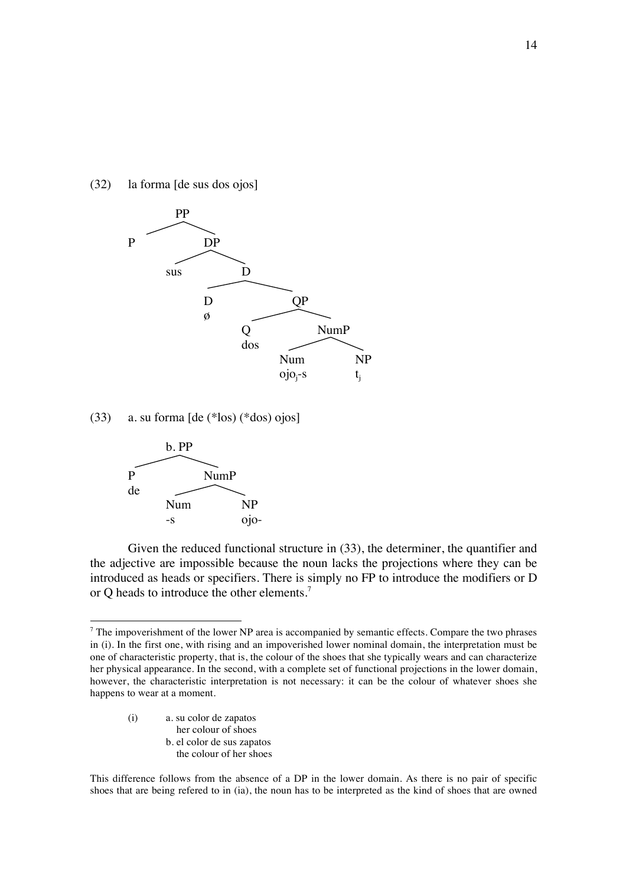(32) la forma [de sus dos ojos]



(33) a. su forma [de (\*los) (\*dos) ojos]



Given the reduced functional structure in (33), the determiner, the quantifier and the adjective are impossible because the noun lacks the projections where they can be introduced as heads or specifiers. There is simply no FP to introduce the modifiers or D or Q heads to introduce the other elements.<sup>7</sup>

(i) a. su color de zapatos her colour of shoes b. el color de sus zapatos the colour of her shoes

This difference follows from the absence of a DP in the lower domain. As there is no pair of specific shoes that are being refered to in (ia), the noun has to be interpreted as the kind of shoes that are owned

 $7$  The impoverishment of the lower NP area is accompanied by semantic effects. Compare the two phrases in (i). In the first one, with rising and an impoverished lower nominal domain, the interpretation must be one of characteristic property, that is, the colour of the shoes that she typically wears and can characterize her physical appearance. In the second, with a complete set of functional projections in the lower domain, however, the characteristic interpretation is not necessary: it can be the colour of whatever shoes she happens to wear at a moment.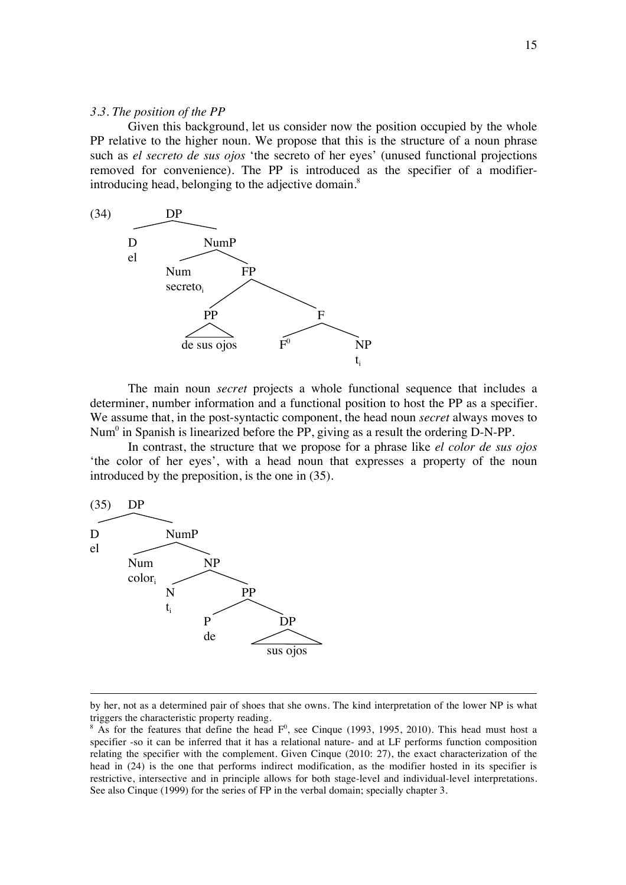## *3.3. The position of the PP*

Given this background, let us consider now the position occupied by the whole PP relative to the higher noun. We propose that this is the structure of a noun phrase such as *el secreto de sus ojos* 'the secreto of her eyes' (unused functional projections removed for convenience). The PP is introduced as the specifier of a modifierintroducing head, belonging to the adjective domain.<sup>8</sup>



The main noun *secret* projects a whole functional sequence that includes a determiner, number information and a functional position to host the PP as a specifier. We assume that, in the post-syntactic component, the head noun *secret* always moves to Num<sup>0</sup> in Spanish is linearized before the PP, giving as a result the ordering D-N-PP.

In contrast, the structure that we propose for a phrase like *el color de sus ojos* 'the color of her eyes', with a head noun that expresses a property of the noun introduced by the preposition, is the one in (35).



<sup>&</sup>lt;u> 1989 - Andrea Santa Andrea Andrea Andrea Andrea Andrea Andrea Andrea Andrea Andrea Andrea Andrea Andrea Andr</u> by her, not as a determined pair of shoes that she owns. The kind interpretation of the lower NP is what triggers the characteristic property reading.

 $8$  As for the features that define the head  $F<sup>0</sup>$ , see Cinque (1993, 1995, 2010). This head must host a specifier -so it can be inferred that it has a relational nature- and at LF performs function composition relating the specifier with the complement. Given Cinque (2010: 27), the exact characterization of the head in (24) is the one that performs indirect modification, as the modifier hosted in its specifier is restrictive, intersective and in principle allows for both stage-level and individual-level interpretations. See also Cinque (1999) for the series of FP in the verbal domain; specially chapter 3.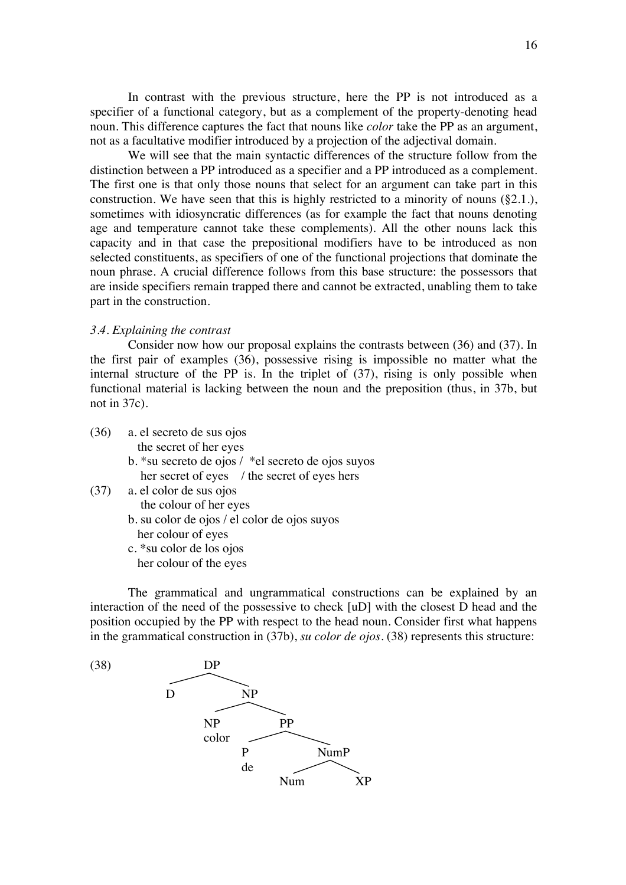In contrast with the previous structure, here the PP is not introduced as a specifier of a functional category, but as a complement of the property-denoting head noun. This difference captures the fact that nouns like *color* take the PP as an argument, not as a facultative modifier introduced by a projection of the adjectival domain.

We will see that the main syntactic differences of the structure follow from the distinction between a PP introduced as a specifier and a PP introduced as a complement. The first one is that only those nouns that select for an argument can take part in this construction. We have seen that this is highly restricted to a minority of nouns (§2.1.), sometimes with idiosyncratic differences (as for example the fact that nouns denoting age and temperature cannot take these complements). All the other nouns lack this capacity and in that case the prepositional modifiers have to be introduced as non selected constituents, as specifiers of one of the functional projections that dominate the noun phrase. A crucial difference follows from this base structure: the possessors that are inside specifiers remain trapped there and cannot be extracted, unabling them to take part in the construction.

# *3.4. Explaining the contrast*

Consider now how our proposal explains the contrasts between (36) and (37). In the first pair of examples (36), possessive rising is impossible no matter what the internal structure of the PP is. In the triplet of (37), rising is only possible when functional material is lacking between the noun and the preposition (thus, in 37b, but not in 37c).

| (36) | a. el secreto de sus ojos                          |
|------|----------------------------------------------------|
|      | the secret of her eyes                             |
|      | b. *su secreto de ojos / *el secreto de ojos suyos |
|      | her secret of eyes / the secret of eyes hers       |
| (37) | a. el color de sus ojos                            |
|      | the colour of her eyes                             |
|      | b. su color de ojos / el color de ojos suyos       |
|      | her colour of eyes                                 |
|      | c. *su color de los ojos                           |
|      | her colour of the eyes                             |

The grammatical and ungrammatical constructions can be explained by an interaction of the need of the possessive to check [uD] with the closest D head and the position occupied by the PP with respect to the head noun. Consider first what happens in the grammatical construction in (37b), *su color de ojos*. (38) represents this structure:

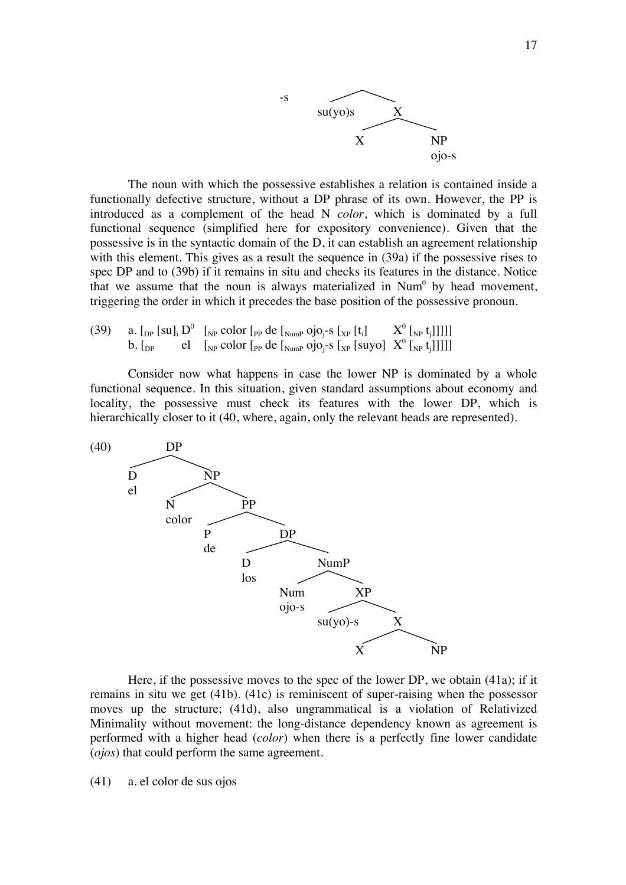

The noun with which the possessive establishes a relation is contained inside a functionally defective structure, without a DP phrase of its own. However, the PP is introduced as a complement of the head N *color*, which is dominated by a full functional sequence (simplified here for expository convenience). Given that the possessive is in the syntactic domain of the D, it can establish an agreement relationship with this element. This gives as a result the sequence in (39a) if the possessive rises to spec DP and to (39b) if it remains in situ and checks its features in the distance. Notice that we assume that the noun is always materialized in  $Num<sup>0</sup>$  by head movement, triggering the order in which it precedes the base position of the possessive pronoun.

(39) a. 
$$
\left[\begin{smallmatrix} 0 \end{smallmatrix}\right]
$$
 b.  $\left[\begin{smallmatrix} 0 \end{smallmatrix}\right]$  c.  $\left[\begin{smallmatrix} 0 \end{smallmatrix}\right]$  d.  $\left[\begin{smallmatrix} 0 \end{smallmatrix}\right]$  d.  $\left[\begin{smallmatrix} 0 \end{smallmatrix}\right]$  e.  $\left[\begin{smallmatrix} 0 \end{smallmatrix}\right]$  e.  $\left[\begin{smallmatrix} 0 \end{smallmatrix}\right]$  e.  $\left[\begin{smallmatrix} 0 \end{smallmatrix}\right]$  e.  $\left[\begin{smallmatrix} 0 \end{smallmatrix}\right]$  e.  $\left[\begin{smallmatrix} 0 \end{smallmatrix}\right]$  e.  $\left[\begin{smallmatrix} 0 \end{smallmatrix}\right]$  e.  $\left[\begin{smallmatrix} 0 \end{smallmatrix}\right]$  e.  $\left[\begin{smallmatrix} 0 \end{smallmatrix}\right]$  e.  $\left[\begin{smallmatrix} 0 \end{smallmatrix}\right]$  e.  $\left[\begin{smallmatrix} 0 \end{smallmatrix}\right]$  e.  $\left[\begin{smallmatrix} 0 \end{smallmatrix}\right]$  e.  $\left[\begin{smallmatrix} 0 \end{smallmatrix}\right]$  e.  $\left[\begin{smallmatrix} 0 \end{smallmatrix}\right]$  e.  $\left[\begin{smallmatrix} 0 \end{smallmatrix}\right]$  e.  $\left[\begin{smallmatrix} 0 \end{smallmatrix}\right]$  e.  $\left[\begin{smallmatrix} 0 \end{smallmatrix}\right]$  e.  $\left[\begin{smallmatrix} 0 \end{smallmatrix}\right]$  e.  $\left[\begin{smallmatrix} 0 \end{smallmatrix}\right]$  e.  $\left[\begin{smallmatrix} 0 \end{smallmatrix}\right]$  e.  $\left[\begin{smallmatrix} 0 \end{smallmatrix}\right]$  e.  $\left[\begin{smallmatrix} 0 \end{smallmatrix}\right]$  e.  $\left[\begin{smallmatrix} 0 \end{smallmatrix}\right]$  e.  $\left[\begin{smallmatrix} 0 \end{smallmatrix}\right]$  e.  $$ 

Consider now what happens in case the lower NP is dominated by a whole functional sequence. In this situation, given standard assumptions about economy and locality, the possessive must check its features with the lower DP, which is hierarchically closer to it (40, where, again, only the relevant heads are represented).



Here, if the possessive moves to the spec of the lower DP, we obtain (41a); if it remains in situ we get (41b). (41c) is reminiscent of super-raising when the possessor moves up the structure; (41d), also ungrammatical is a violation of Relativized Minimality without movement: the long-distance dependency known as agreement is performed with a higher head (*color*) when there is a perfectly fine lower candidate (*ojos*) that could perform the same agreement.

(41) a. el color de sus ojos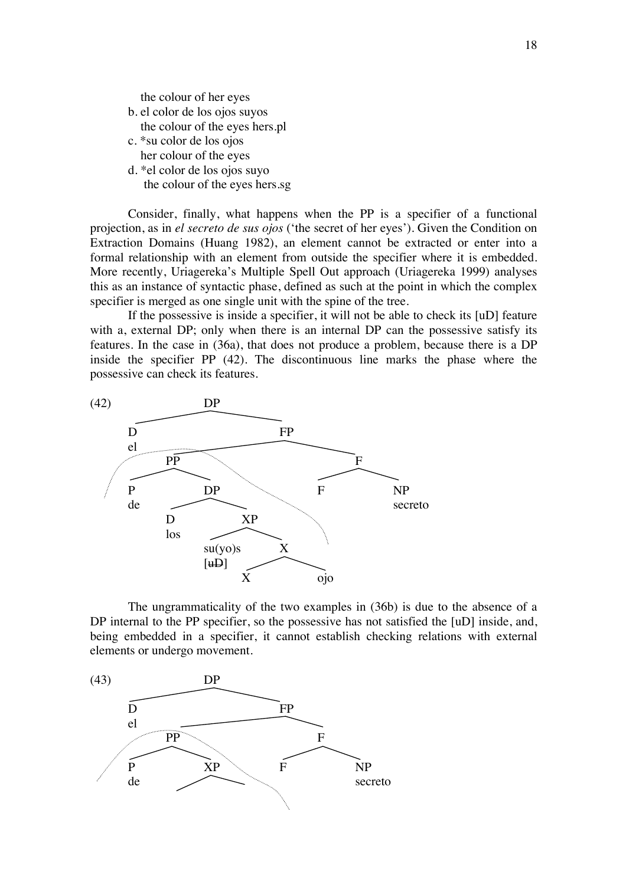the colour of her eyes

- b. el color de los ojos suyos the colour of the eyes hers.pl
- c. \*su color de los ojos her colour of the eyes
- d. \*el color de los ojos suyo the colour of the eyes hers.sg

Consider, finally, what happens when the PP is a specifier of a functional projection, as in *el secreto de sus ojos* ('the secret of her eyes'). Given the Condition on Extraction Domains (Huang 1982), an element cannot be extracted or enter into a formal relationship with an element from outside the specifier where it is embedded. More recently, Uriagereka's Multiple Spell Out approach (Uriagereka 1999) analyses this as an instance of syntactic phase, defined as such at the point in which the complex specifier is merged as one single unit with the spine of the tree.

If the possessive is inside a specifier, it will not be able to check its [uD] feature with a, external DP; only when there is an internal DP can the possessive satisfy its features. In the case in (36a), that does not produce a problem, because there is a DP inside the specifier PP (42). The discontinuous line marks the phase where the possessive can check its features.



The ungrammaticality of the two examples in (36b) is due to the absence of a DP internal to the PP specifier, so the possessive has not satisfied the [uD] inside, and, being embedded in a specifier, it cannot establish checking relations with external elements or undergo movement.

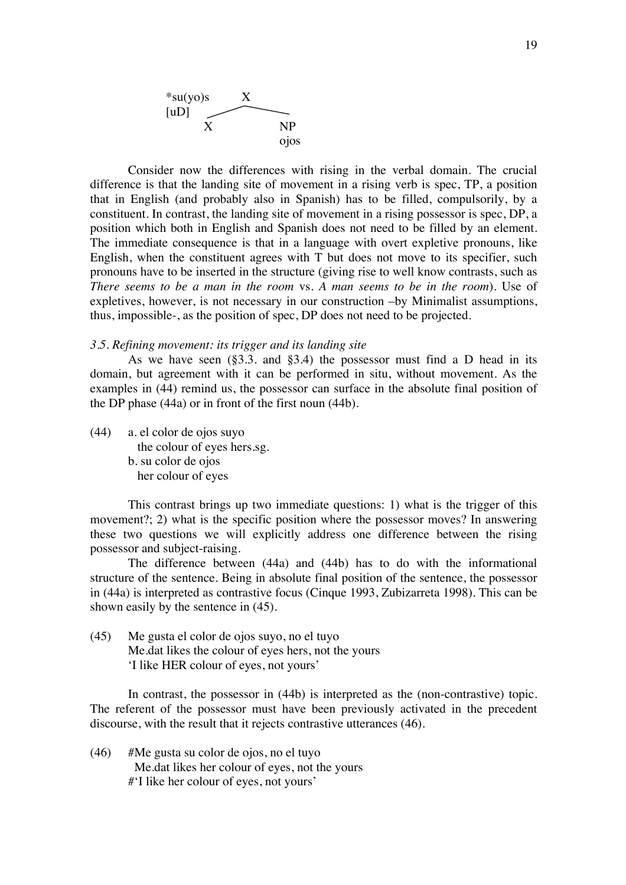

Consider now the differences with rising in the verbal domain. The crucial difference is that the landing site of movement in a rising verb is spec, TP, a position that in English (and probably also in Spanish) has to be filled, compulsorily, by a constituent. In contrast, the landing site of movement in a rising possessor is spec, DP, a position which both in English and Spanish does not need to be filled by an element. The immediate consequence is that in a language with overt expletive pronouns, like English, when the constituent agrees with T but does not move to its specifier, such pronouns have to be inserted in the structure (giving rise to well know contrasts, such as *There seems to be a man in the room* vs. *A man seems to be in the room*). Use of expletives, however, is not necessary in our construction –by Minimalist assumptions, thus, impossible-, as the position of spec, DP does not need to be projected.

#### *3.5. Refining movement: its trigger and its landing site*

As we have seen  $(\S3.3. \text{ and } \S3.4)$  the possessor must find a D head in its domain, but agreement with it can be performed in situ, without movement. As the examples in (44) remind us, the possessor can surface in the absolute final position of the DP phase (44a) or in front of the first noun (44b).

(44) a. el color de ojos suyo the colour of eyes hers.sg. b. su color de ojos her colour of eyes

This contrast brings up two immediate questions: 1) what is the trigger of this movement?; 2) what is the specific position where the possessor moves? In answering these two questions we will explicitly address one difference between the rising possessor and subject-raising.

The difference between (44a) and (44b) has to do with the informational structure of the sentence. Being in absolute final position of the sentence, the possessor in (44a) is interpreted as contrastive focus (Cinque 1993, Zubizarreta 1998). This can be shown easily by the sentence in (45).

(45) Me gusta el color de ojos suyo, no el tuyo Me.dat likes the colour of eyes hers, not the yours 'I like HER colour of eyes, not yours'

In contrast, the possessor in (44b) is interpreted as the (non-contrastive) topic. The referent of the possessor must have been previously activated in the precedent discourse, with the result that it rejects contrastive utterances (46).

(46) #Me gusta su color de ojos, no el tuyo Me.dat likes her colour of eyes, not the yours #'I like her colour of eyes, not yours'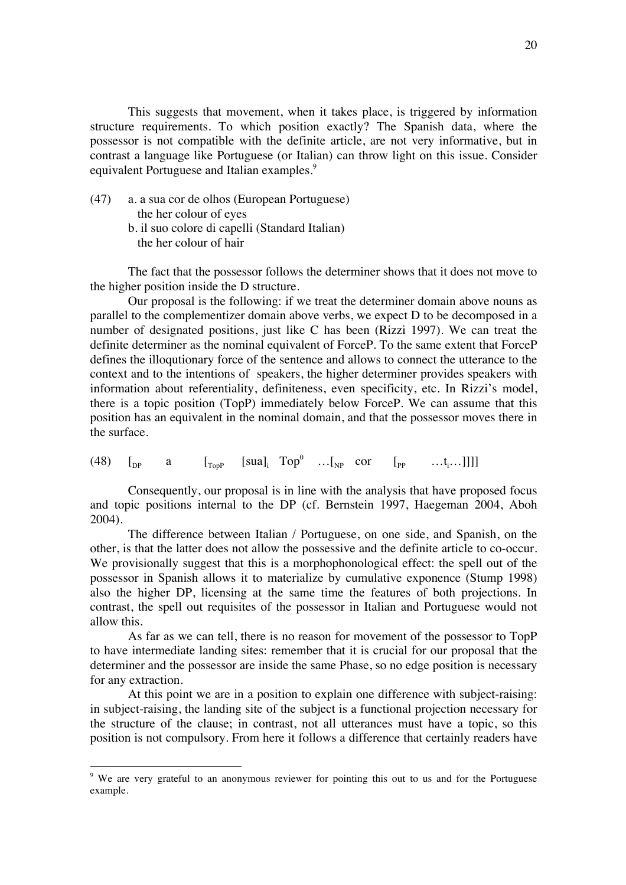This suggests that movement, when it takes place, is triggered by information structure requirements. To which position exactly? The Spanish data, where the possessor is not compatible with the definite article, are not very informative, but in contrast a language like Portuguese (or Italian) can throw light on this issue. Consider equivalent Portuguese and Italian examples.<sup>9</sup>

- (47) a. a sua cor de olhos (European Portuguese) the her colour of eyes
	- b. il suo colore di capelli (Standard Italian) the her colour of hair

The fact that the possessor follows the determiner shows that it does not move to the higher position inside the D structure.

Our proposal is the following: if we treat the determiner domain above nouns as parallel to the complementizer domain above verbs, we expect D to be decomposed in a number of designated positions, just like C has been (Rizzi 1997). We can treat the definite determiner as the nominal equivalent of ForceP. To the same extent that ForceP defines the illoqutionary force of the sentence and allows to connect the utterance to the context and to the intentions of speakers, the higher determiner provides speakers with information about referentiality, definiteness, even specificity, etc. In Rizzi's model, there is a topic position (TopP) immediately below ForceP. We can assume that this position has an equivalent in the nominal domain, and that the possessor moves there in the surface.

(48)  $\begin{bmatrix} p & a \end{bmatrix}$   $\begin{bmatrix} \text{S} \text{u}a \end{bmatrix}$   $\begin{bmatrix} \text{S} \text{u}a \end{bmatrix}$   $\begin{bmatrix} \text{S} \text{u}a \end{bmatrix}$   $\begin{bmatrix} \text{v} & \text{v} \end{bmatrix}$   $\begin{bmatrix} \text{v} & \text{v} & \text{v} \end{bmatrix}$   $\begin{bmatrix} \text{v} & \text{v} & \text{v} \end{bmatrix}$ 

Consequently, our proposal is in line with the analysis that have proposed focus and topic positions internal to the DP (cf. Bernstein 1997, Haegeman 2004, Aboh 2004).

The difference between Italian / Portuguese, on one side, and Spanish, on the other, is that the latter does not allow the possessive and the definite article to co-occur. We provisionally suggest that this is a morphophonological effect: the spell out of the possessor in Spanish allows it to materialize by cumulative exponence (Stump 1998) also the higher DP, licensing at the same time the features of both projections. In contrast, the spell out requisites of the possessor in Italian and Portuguese would not allow this.

As far as we can tell, there is no reason for movement of the possessor to TopP to have intermediate landing sites: remember that it is crucial for our proposal that the determiner and the possessor are inside the same Phase, so no edge position is necessary for any extraction.

At this point we are in a position to explain one difference with subject-raising: in subject-raising, the landing site of the subject is a functional projection necessary for the structure of the clause; in contrast, not all utterances must have a topic, so this position is not compulsory. From here it follows a difference that certainly readers have

<sup>9</sup> We are very grateful to an anonymous reviewer for pointing this out to us and for the Portuguese example.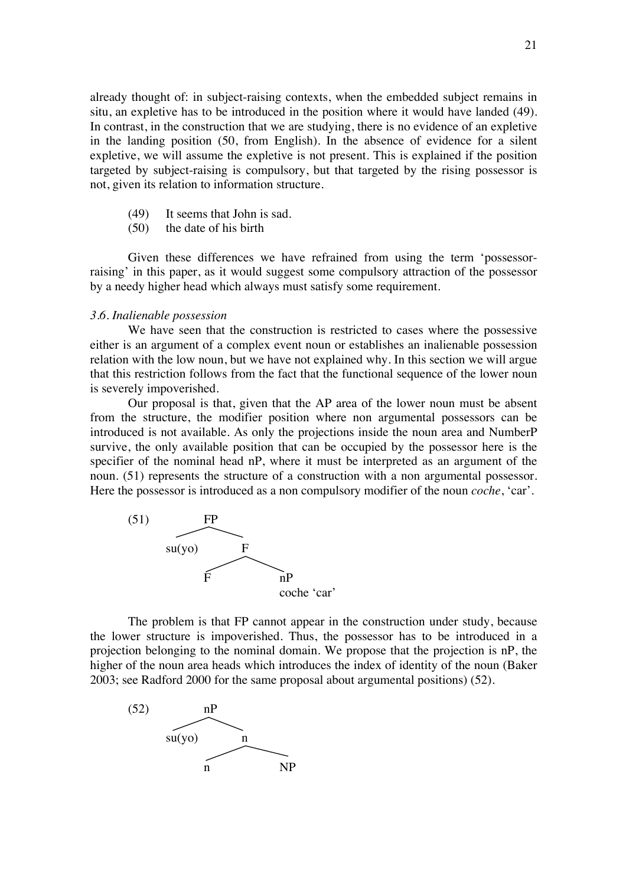already thought of: in subject-raising contexts, when the embedded subject remains in situ, an expletive has to be introduced in the position where it would have landed (49). In contrast, in the construction that we are studying, there is no evidence of an expletive in the landing position (50, from English). In the absence of evidence for a silent expletive, we will assume the expletive is not present. This is explained if the position targeted by subject-raising is compulsory, but that targeted by the rising possessor is not, given its relation to information structure.

- (49) It seems that John is sad.
- (50) the date of his birth

Given these differences we have refrained from using the term 'possessorraising' in this paper, as it would suggest some compulsory attraction of the possessor by a needy higher head which always must satisfy some requirement.

#### *3.6. Inalienable possession*

We have seen that the construction is restricted to cases where the possessive either is an argument of a complex event noun or establishes an inalienable possession relation with the low noun, but we have not explained why. In this section we will argue that this restriction follows from the fact that the functional sequence of the lower noun is severely impoverished.

Our proposal is that, given that the AP area of the lower noun must be absent from the structure, the modifier position where non argumental possessors can be introduced is not available. As only the projections inside the noun area and NumberP survive, the only available position that can be occupied by the possessor here is the specifier of the nominal head nP, where it must be interpreted as an argument of the noun. (51) represents the structure of a construction with a non argumental possessor. Here the possessor is introduced as a non compulsory modifier of the noun *coche*, 'car'.



The problem is that FP cannot appear in the construction under study, because the lower structure is impoverished. Thus, the possessor has to be introduced in a projection belonging to the nominal domain. We propose that the projection is nP, the higher of the noun area heads which introduces the index of identity of the noun (Baker 2003; see Radford 2000 for the same proposal about argumental positions) (52).

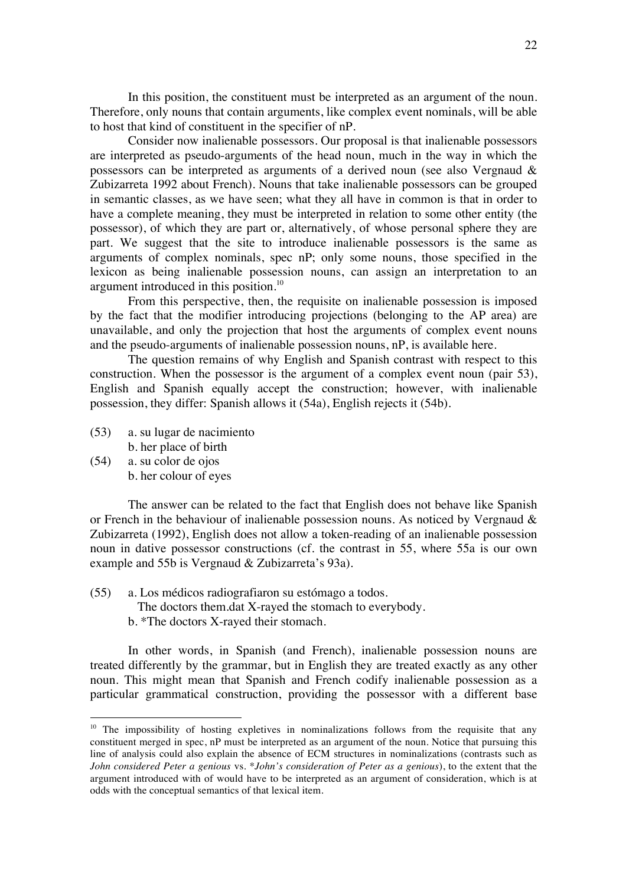In this position, the constituent must be interpreted as an argument of the noun. Therefore, only nouns that contain arguments, like complex event nominals, will be able to host that kind of constituent in the specifier of nP.

Consider now inalienable possessors. Our proposal is that inalienable possessors are interpreted as pseudo-arguments of the head noun, much in the way in which the possessors can be interpreted as arguments of a derived noun (see also Vergnaud & Zubizarreta 1992 about French). Nouns that take inalienable possessors can be grouped in semantic classes, as we have seen; what they all have in common is that in order to have a complete meaning, they must be interpreted in relation to some other entity (the possessor), of which they are part or, alternatively, of whose personal sphere they are part. We suggest that the site to introduce inalienable possessors is the same as arguments of complex nominals, spec nP; only some nouns, those specified in the lexicon as being inalienable possession nouns, can assign an interpretation to an argument introduced in this position.<sup>10</sup>

From this perspective, then, the requisite on inalienable possession is imposed by the fact that the modifier introducing projections (belonging to the AP area) are unavailable, and only the projection that host the arguments of complex event nouns and the pseudo-arguments of inalienable possession nouns, nP, is available here.

The question remains of why English and Spanish contrast with respect to this construction. When the possessor is the argument of a complex event noun (pair 53), English and Spanish equally accept the construction; however, with inalienable possession, they differ: Spanish allows it (54a), English rejects it (54b).

- (53) a. su lugar de nacimiento b. her place of birth
- (54) a. su color de ojos b. her colour of eyes

The answer can be related to the fact that English does not behave like Spanish or French in the behaviour of inalienable possession nouns. As noticed by Vergnaud & Zubizarreta (1992), English does not allow a token-reading of an inalienable possession noun in dative possessor constructions (cf. the contrast in 55, where 55a is our own example and 55b is Vergnaud & Zubizarreta's 93a).

- (55) a. Los médicos radiografiaron su estómago a todos.
	- The doctors them.dat X-rayed the stomach to everybody.
	- b. \*The doctors X-rayed their stomach.

In other words, in Spanish (and French), inalienable possession nouns are treated differently by the grammar, but in English they are treated exactly as any other noun. This might mean that Spanish and French codify inalienable possession as a particular grammatical construction, providing the possessor with a different base

 $10$  The impossibility of hosting expletives in nominalizations follows from the requisite that any constituent merged in spec, nP must be interpreted as an argument of the noun. Notice that pursuing this line of analysis could also explain the absence of ECM structures in nominalizations (contrasts such as *John considered Peter a genious* vs. \**John's consideration of Peter as a genious*), to the extent that the argument introduced with of would have to be interpreted as an argument of consideration, which is at odds with the conceptual semantics of that lexical item.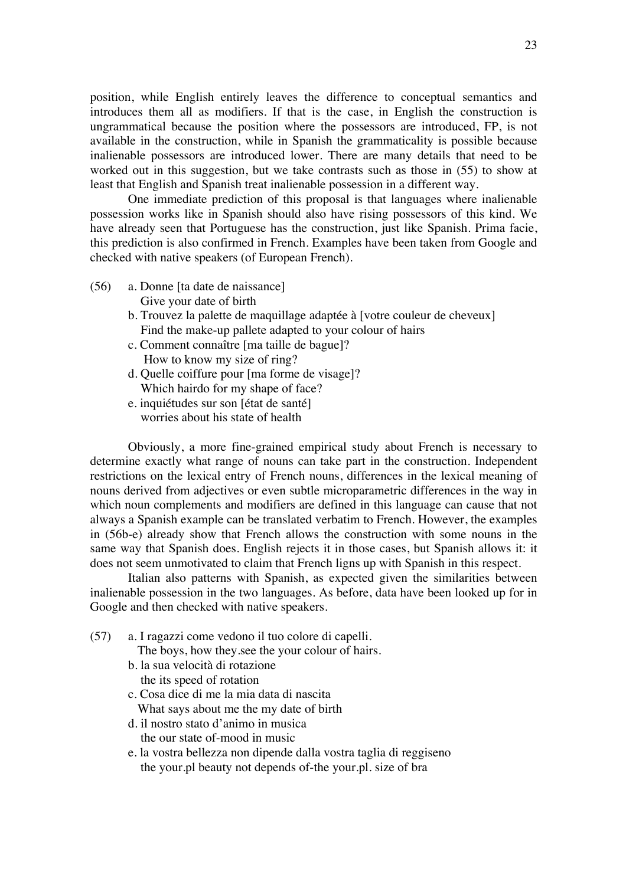position, while English entirely leaves the difference to conceptual semantics and introduces them all as modifiers. If that is the case, in English the construction is ungrammatical because the position where the possessors are introduced, FP, is not available in the construction, while in Spanish the grammaticality is possible because inalienable possessors are introduced lower. There are many details that need to be worked out in this suggestion, but we take contrasts such as those in (55) to show at least that English and Spanish treat inalienable possession in a different way.

One immediate prediction of this proposal is that languages where inalienable possession works like in Spanish should also have rising possessors of this kind. We have already seen that Portuguese has the construction, just like Spanish. Prima facie, this prediction is also confirmed in French. Examples have been taken from Google and checked with native speakers (of European French).

- (56) a. Donne [ta date de naissance] Give your date of birth
	- b. Trouvez la palette de maquillage adaptée à [votre couleur de cheveux] Find the make-up pallete adapted to your colour of hairs
	- c. Comment connaître [ma taille de bague]? How to know my size of ring?
	- d. Quelle coiffure pour [ma forme de visage]? Which hairdo for my shape of face?
	- e. inquiétudes sur son [état de santé] worries about his state of health

Obviously, a more fine-grained empirical study about French is necessary to determine exactly what range of nouns can take part in the construction. Independent restrictions on the lexical entry of French nouns, differences in the lexical meaning of nouns derived from adjectives or even subtle microparametric differences in the way in which noun complements and modifiers are defined in this language can cause that not always a Spanish example can be translated verbatim to French. However, the examples in (56b-e) already show that French allows the construction with some nouns in the same way that Spanish does. English rejects it in those cases, but Spanish allows it: it does not seem unmotivated to claim that French ligns up with Spanish in this respect.

Italian also patterns with Spanish, as expected given the similarities between inalienable possession in the two languages. As before, data have been looked up for in Google and then checked with native speakers.

(57) a. I ragazzi come vedono il tuo colore di capelli.

The boys, how they.see the your colour of hairs.

- b. la sua velocità di rotazione the its speed of rotation
- c. Cosa dice di me la mia data di nascita What says about me the my date of birth
- d. il nostro stato d'animo in musica
	- the our state of-mood in music
- e. la vostra bellezza non dipende dalla vostra taglia di reggiseno the your.pl beauty not depends of-the your.pl. size of bra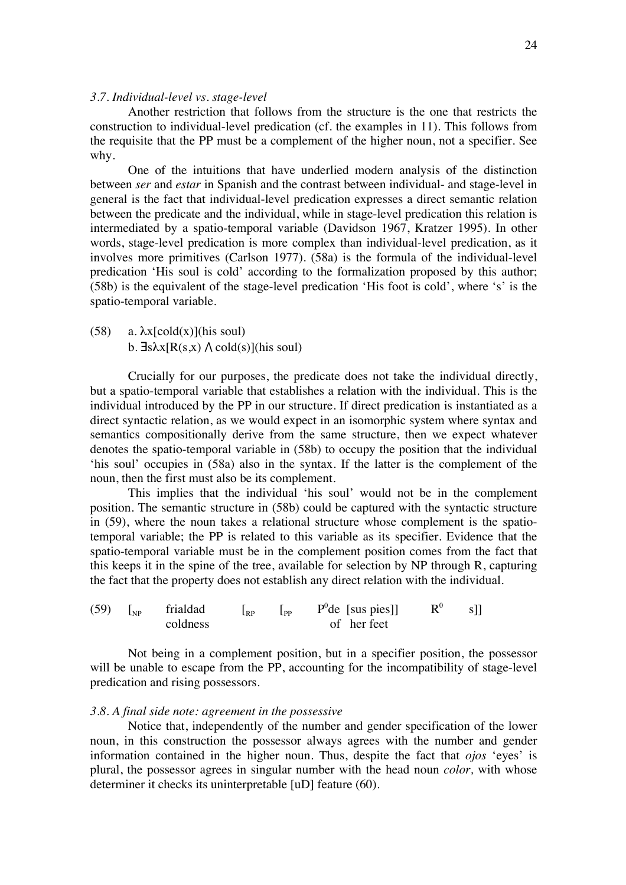## *3.7. Individual-level vs. stage-level*

Another restriction that follows from the structure is the one that restricts the construction to individual-level predication (cf. the examples in 11). This follows from the requisite that the PP must be a complement of the higher noun, not a specifier. See why.

One of the intuitions that have underlied modern analysis of the distinction between *ser* and *estar* in Spanish and the contrast between individual- and stage-level in general is the fact that individual-level predication expresses a direct semantic relation between the predicate and the individual, while in stage-level predication this relation is intermediated by a spatio-temporal variable (Davidson 1967, Kratzer 1995). In other words, stage-level predication is more complex than individual-level predication, as it involves more primitives (Carlson 1977). (58a) is the formula of the individual-level predication 'His soul is cold' according to the formalization proposed by this author; (58b) is the equivalent of the stage-level predication 'His foot is cold', where 's' is the spatio-temporal variable.

(58) a.  $\lambda x$ [cold(x)](his soul) b.  $\exists s\lambda x[R(s,x) \wedge cold(s)]$ (his soul)

Crucially for our purposes, the predicate does not take the individual directly, but a spatio-temporal variable that establishes a relation with the individual. This is the individual introduced by the PP in our structure. If direct predication is instantiated as a direct syntactic relation, as we would expect in an isomorphic system where syntax and semantics compositionally derive from the same structure, then we expect whatever denotes the spatio-temporal variable in (58b) to occupy the position that the individual 'his soul' occupies in (58a) also in the syntax. If the latter is the complement of the noun, then the first must also be its complement.

This implies that the individual 'his soul' would not be in the complement position. The semantic structure in (58b) could be captured with the syntactic structure in (59), where the noun takes a relational structure whose complement is the spatiotemporal variable; the PP is related to this variable as its specifier. Evidence that the spatio-temporal variable must be in the complement position comes from the fact that this keeps it in the spine of the tree, available for selection by NP through R, capturing the fact that the property does not establish any direct relation with the individual.

(59)  $\begin{bmatrix} N_P \\ N_P \end{bmatrix}$  frialdad  $\begin{bmatrix} R_P \\ P_P \end{bmatrix}$  $P^{0}$ de [sus pies]]  $R^{0}$  s]] of her feet

Not being in a complement position, but in a specifier position, the possessor will be unable to escape from the PP, accounting for the incompatibility of stage-level predication and rising possessors.

#### *3.8. A final side note: agreement in the possessive*

Notice that, independently of the number and gender specification of the lower noun, in this construction the possessor always agrees with the number and gender information contained in the higher noun. Thus, despite the fact that *ojos* 'eyes' is plural, the possessor agrees in singular number with the head noun *color,* with whose determiner it checks its uninterpretable [uD] feature (60).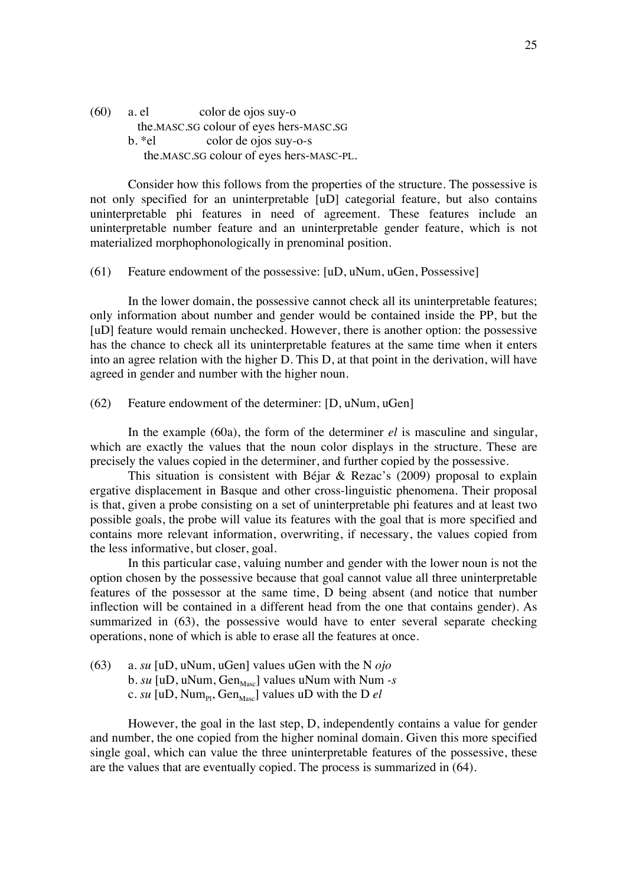(60) a. el color de ojos suy-o the.MASC.SG colour of eyes hers-MASC.SG b. \*el color de ojos suy-o-s the.MASC.SG colour of eyes hers-MASC-PL.

Consider how this follows from the properties of the structure. The possessive is not only specified for an uninterpretable [uD] categorial feature, but also contains uninterpretable phi features in need of agreement. These features include an uninterpretable number feature and an uninterpretable gender feature, which is not materialized morphophonologically in prenominal position.

#### (61) Feature endowment of the possessive: [uD, uNum, uGen, Possessive]

In the lower domain, the possessive cannot check all its uninterpretable features; only information about number and gender would be contained inside the PP, but the [uD] feature would remain unchecked. However, there is another option: the possessive has the chance to check all its uninterpretable features at the same time when it enters into an agree relation with the higher D. This D, at that point in the derivation, will have agreed in gender and number with the higher noun.

(62) Feature endowment of the determiner: [D, uNum, uGen]

In the example (60a), the form of the determiner *el* is masculine and singular, which are exactly the values that the noun color displays in the structure. These are precisely the values copied in the determiner, and further copied by the possessive.

This situation is consistent with Béjar & Rezac's (2009) proposal to explain ergative displacement in Basque and other cross-linguistic phenomena. Their proposal is that, given a probe consisting on a set of uninterpretable phi features and at least two possible goals, the probe will value its features with the goal that is more specified and contains more relevant information, overwriting, if necessary, the values copied from the less informative, but closer, goal.

In this particular case, valuing number and gender with the lower noun is not the option chosen by the possessive because that goal cannot value all three uninterpretable features of the possessor at the same time, D being absent (and notice that number inflection will be contained in a different head from the one that contains gender). As summarized in (63), the possessive would have to enter several separate checking operations, none of which is able to erase all the features at once.

(63) a. *su* [uD, uNum, uGen] values uGen with the N *ojo*  $b. \, su \, [\text{uD}, \text{uNum}, \text{Gen}_{\text{Masc}}]$  values uNum with Num *-s* c.  $su$  [uD, Num<sub>pt</sub>, Gen<sub>Masc</sub>] values uD with the D *el* 

However, the goal in the last step, D, independently contains a value for gender and number, the one copied from the higher nominal domain. Given this more specified single goal, which can value the three uninterpretable features of the possessive, these are the values that are eventually copied. The process is summarized in (64).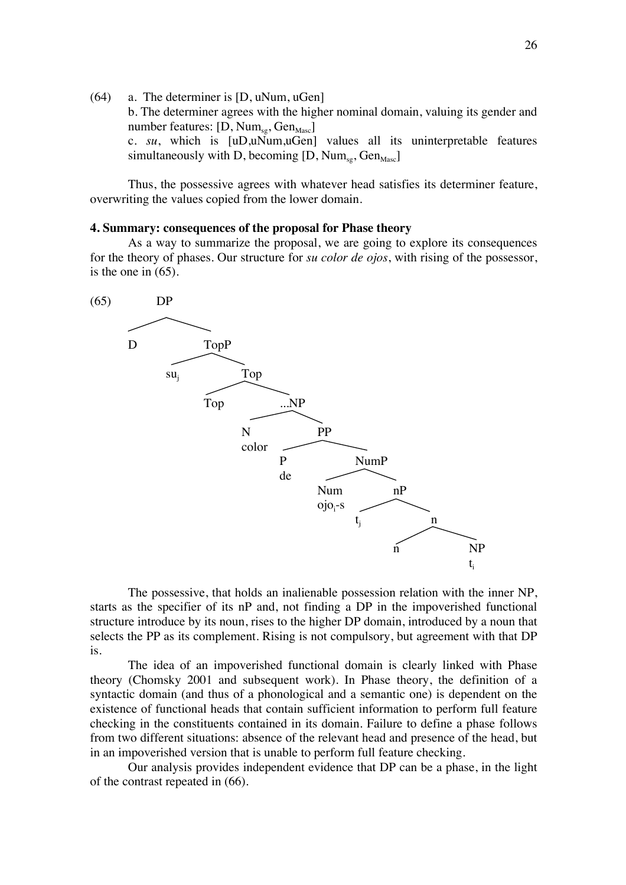(64) a. The determiner is [D, uNum, uGen] b. The determiner agrees with the higher nominal domain, valuing its gender and number features:  $[D, Num_{se}, Gen_{Masc}]$ c. *su*, which is [uD,uNum,uGen] values all its uninterpretable features simultaneously with D, becoming  $[D, Num_{\text{ss}}, Gen_{\text{Masc}}]$ 

Thus, the possessive agrees with whatever head satisfies its determiner feature, overwriting the values copied from the lower domain.

# **4. Summary: consequences of the proposal for Phase theory**

As a way to summarize the proposal, we are going to explore its consequences for the theory of phases. Our structure for *su color de ojos*, with rising of the possessor, is the one in (65).



The possessive, that holds an inalienable possession relation with the inner NP, starts as the specifier of its nP and, not finding a DP in the impoverished functional structure introduce by its noun, rises to the higher DP domain, introduced by a noun that selects the PP as its complement. Rising is not compulsory, but agreement with that DP is.

The idea of an impoverished functional domain is clearly linked with Phase theory (Chomsky 2001 and subsequent work). In Phase theory, the definition of a syntactic domain (and thus of a phonological and a semantic one) is dependent on the existence of functional heads that contain sufficient information to perform full feature checking in the constituents contained in its domain. Failure to define a phase follows from two different situations: absence of the relevant head and presence of the head, but in an impoverished version that is unable to perform full feature checking.

Our analysis provides independent evidence that DP can be a phase, in the light of the contrast repeated in (66).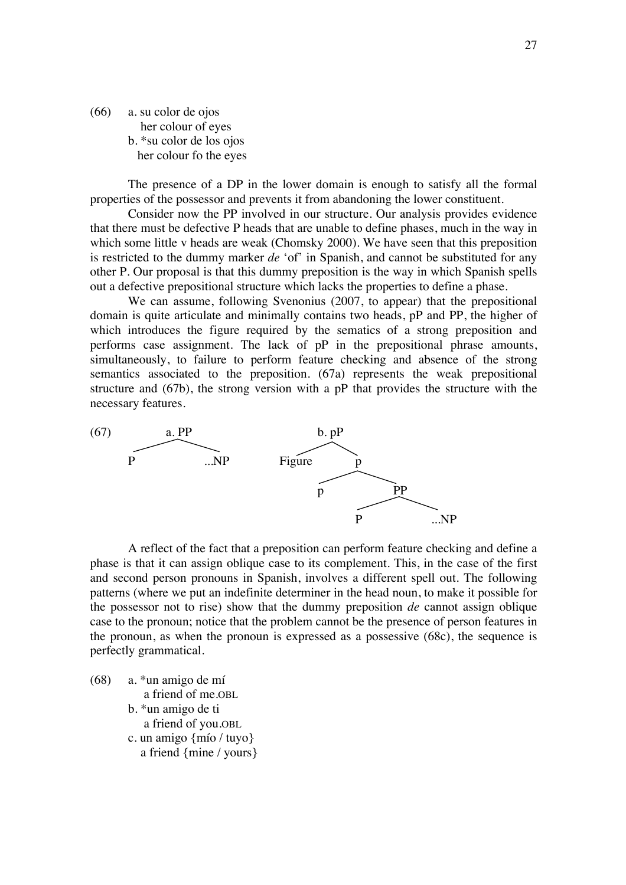(66) a. su color de ojos her colour of eyes b. \*su color de los ojos her colour fo the eyes

The presence of a DP in the lower domain is enough to satisfy all the formal properties of the possessor and prevents it from abandoning the lower constituent.

Consider now the PP involved in our structure. Our analysis provides evidence that there must be defective P heads that are unable to define phases, much in the way in which some little v heads are weak (Chomsky 2000). We have seen that this preposition is restricted to the dummy marker *de* 'of' in Spanish, and cannot be substituted for any other P. Our proposal is that this dummy preposition is the way in which Spanish spells out a defective prepositional structure which lacks the properties to define a phase.

We can assume, following Svenonius (2007, to appear) that the prepositional domain is quite articulate and minimally contains two heads, pP and PP, the higher of which introduces the figure required by the sematics of a strong preposition and performs case assignment. The lack of pP in the prepositional phrase amounts, simultaneously, to failure to perform feature checking and absence of the strong semantics associated to the preposition. (67a) represents the weak prepositional structure and (67b), the strong version with a pP that provides the structure with the necessary features.



A reflect of the fact that a preposition can perform feature checking and define a phase is that it can assign oblique case to its complement. This, in the case of the first and second person pronouns in Spanish, involves a different spell out. The following patterns (where we put an indefinite determiner in the head noun, to make it possible for the possessor not to rise) show that the dummy preposition *de* cannot assign oblique case to the pronoun; notice that the problem cannot be the presence of person features in the pronoun, as when the pronoun is expressed as a possessive (68c), the sequence is perfectly grammatical.

(68) a. \*un amigo de mí a friend of me.OBL b. \*un amigo de ti a friend of you.OBL c. un amigo {mío / tuyo} a friend {mine / yours}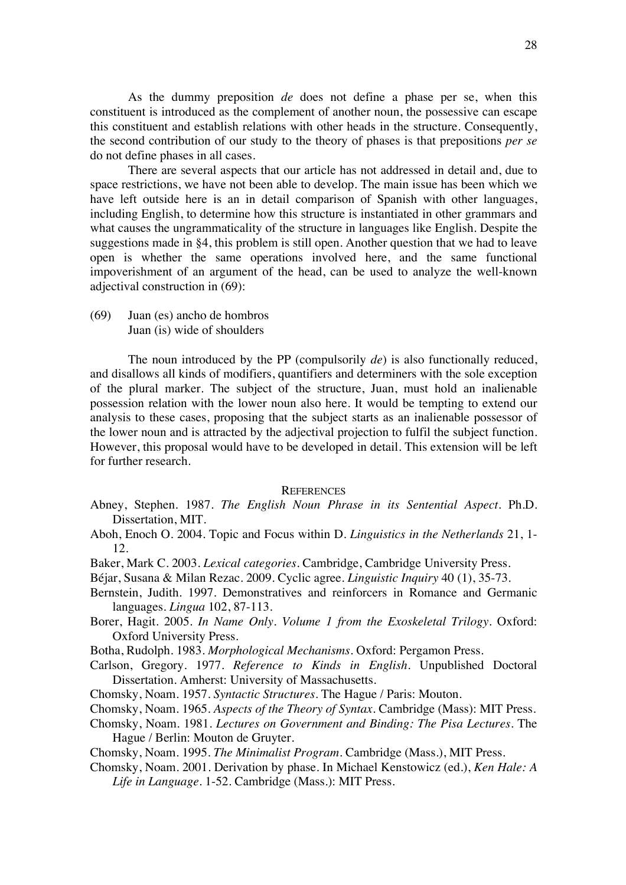As the dummy preposition *de* does not define a phase per se, when this constituent is introduced as the complement of another noun, the possessive can escape this constituent and establish relations with other heads in the structure. Consequently, the second contribution of our study to the theory of phases is that prepositions *per se* do not define phases in all cases.

There are several aspects that our article has not addressed in detail and, due to space restrictions, we have not been able to develop. The main issue has been which we have left outside here is an in detail comparison of Spanish with other languages, including English, to determine how this structure is instantiated in other grammars and what causes the ungrammaticality of the structure in languages like English. Despite the suggestions made in §4, this problem is still open. Another question that we had to leave open is whether the same operations involved here, and the same functional impoverishment of an argument of the head, can be used to analyze the well-known adjectival construction in (69):

(69) Juan (es) ancho de hombros Juan (is) wide of shoulders

The noun introduced by the PP (compulsorily *de*) is also functionally reduced, and disallows all kinds of modifiers, quantifiers and determiners with the sole exception of the plural marker. The subject of the structure, Juan, must hold an inalienable possession relation with the lower noun also here. It would be tempting to extend our analysis to these cases, proposing that the subject starts as an inalienable possessor of the lower noun and is attracted by the adjectival projection to fulfil the subject function. However, this proposal would have to be developed in detail. This extension will be left for further research.

# **REFERENCES**

- Abney, Stephen. 1987. *The English Noun Phrase in its Sentential Aspect*. Ph.D. Dissertation, MIT.
- Aboh, Enoch O. 2004. Topic and Focus within D. *Linguistics in the Netherlands* 21, 1- 12.
- Baker, Mark C. 2003. *Lexical categories*. Cambridge, Cambridge University Press.
- Béjar, Susana & Milan Rezac. 2009. Cyclic agree. *Linguistic Inquiry* 40 (1), 35-73.
- Bernstein, Judith. 1997. Demonstratives and reinforcers in Romance and Germanic languages. *Lingua* 102, 87-113.
- Borer, Hagit. 2005. *In Name Only. Volume 1 from the Exoskeletal Trilogy*. Oxford: Oxford University Press.
- Botha, Rudolph. 1983. *Morphological Mechanisms*. Oxford: Pergamon Press.
- Carlson, Gregory. 1977. *Reference to Kinds in English*. Unpublished Doctoral Dissertation. Amherst: University of Massachusetts.
- Chomsky, Noam. 1957. *Syntactic Structures*. The Hague / Paris: Mouton.
- Chomsky, Noam. 1965. *Aspects of the Theory of Syntax*. Cambridge (Mass): MIT Press.
- Chomsky, Noam. 1981. *Lectures on Government and Binding: The Pisa Lectures*. The Hague / Berlin: Mouton de Gruyter.
- Chomsky, Noam. 1995. *The Minimalist Program*. Cambridge (Mass.), MIT Press.
- Chomsky, Noam. 2001. Derivation by phase. In Michael Kenstowicz (ed.), *Ken Hale: A Life in Language*. 1-52. Cambridge (Mass.): MIT Press.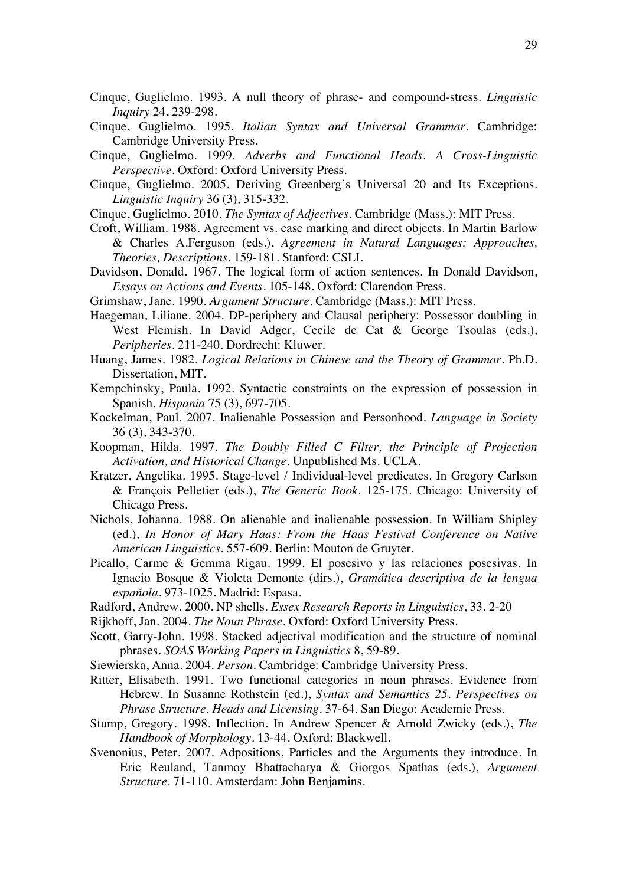- Cinque, Guglielmo. 1993. A null theory of phrase- and compound-stress. *Linguistic Inquiry* 24, 239-298.
- Cinque, Guglielmo. 1995. *Italian Syntax and Universal Grammar*. Cambridge: Cambridge University Press.
- Cinque, Guglielmo. 1999. *Adverbs and Functional Heads. A Cross-Linguistic Perspective*. Oxford: Oxford University Press.
- Cinque, Guglielmo. 2005. Deriving Greenberg's Universal 20 and Its Exceptions. *Linguistic Inquiry* 36 (3), 315-332.
- Cinque, Guglielmo. 2010. *The Syntax of Adjectives*. Cambridge (Mass.): MIT Press.
- Croft, William. 1988. Agreement vs. case marking and direct objects. In Martin Barlow & Charles A.Ferguson (eds.), *Agreement in Natural Languages: Approaches, Theories, Descriptions*. 159-181. Stanford: CSLI.
- Davidson, Donald. 1967. The logical form of action sentences. In Donald Davidson, *Essays on Actions and Events*. 105-148. Oxford: Clarendon Press.
- Grimshaw, Jane. 1990. *Argument Structure*. Cambridge (Mass.): MIT Press.
- Haegeman, Liliane. 2004. DP-periphery and Clausal periphery: Possessor doubling in West Flemish. In David Adger, Cecile de Cat & George Tsoulas (eds.), *Peripheries*. 211-240. Dordrecht: Kluwer.
- Huang, James. 1982. *Logical Relations in Chinese and the Theory of Grammar*. Ph.D. Dissertation, MIT.
- Kempchinsky, Paula. 1992. Syntactic constraints on the expression of possession in Spanish. *Hispania* 75 (3), 697-705.
- Kockelman, Paul. 2007. Inalienable Possession and Personhood. *Language in Society* 36 (3), 343-370.
- Koopman, Hilda. 1997. *The Doubly Filled C Filter, the Principle of Projection Activation, and Historical Change*. Unpublished Ms. UCLA.
- Kratzer, Angelika. 1995. Stage-level / Individual-level predicates. In Gregory Carlson & François Pelletier (eds.), *The Generic Book*. 125-175. Chicago: University of Chicago Press.
- Nichols, Johanna. 1988. On alienable and inalienable possession. In William Shipley (ed.), *In Honor of Mary Haas: From the Haas Festival Conference on Native American Linguistics*. 557-609. Berlin: Mouton de Gruyter.
- Picallo, Carme & Gemma Rigau. 1999. El posesivo y las relaciones posesivas. In Ignacio Bosque & Violeta Demonte (dirs.), *Gramática descriptiva de la lengua española*. 973-1025. Madrid: Espasa.
- Radford, Andrew. 2000. NP shells. *Essex Research Reports in Linguistics*, 33. 2-20
- Rijkhoff, Jan. 2004. *The Noun Phrase*. Oxford: Oxford University Press.
- Scott, Garry-John. 1998. Stacked adjectival modification and the structure of nominal phrases. *SOAS Working Papers in Linguistics* 8, 59-89.
- Siewierska, Anna. 2004. *Person.* Cambridge: Cambridge University Press.
- Ritter, Elisabeth. 1991. Two functional categories in noun phrases. Evidence from Hebrew. In Susanne Rothstein (ed.), *Syntax and Semantics 25. Perspectives on Phrase Structure. Heads and Licensing*. 37-64. San Diego: Academic Press.
- Stump, Gregory. 1998. Inflection. In Andrew Spencer & Arnold Zwicky (eds.), *The Handbook of Morphology*. 13-44. Oxford: Blackwell.
- Svenonius, Peter. 2007. Adpositions, Particles and the Arguments they introduce. In Eric Reuland, Tanmoy Bhattacharya & Giorgos Spathas (eds.), *Argument Structure*. 71-110. Amsterdam: John Benjamins.